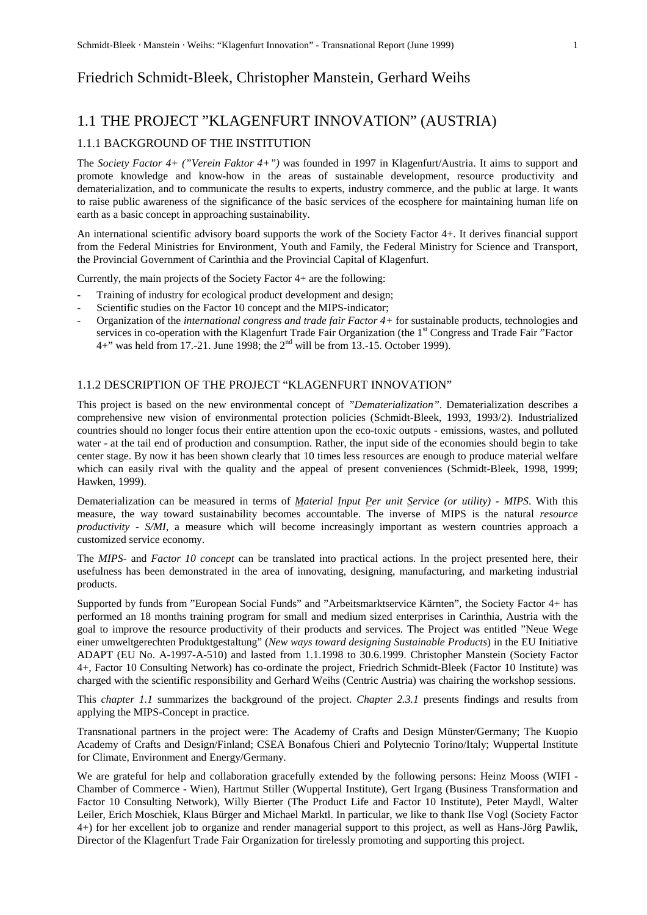# Friedrich Schmidt-Bleek, Christopher Manstein, Gerhard Weihs

# 1.1 THE PROJECT "KLAGENFURT INNOVATION" (AUSTRIA)

# 1.1.1 BACKGROUND OF THE INSTITUTION

The *Society Factor 4+ ("Verein Faktor 4+")* was founded in 1997 in Klagenfurt/Austria. It aims to support and promote knowledge and know-how in the areas of sustainable development, resource productivity and dematerialization, and to communicate the results to experts, industry commerce, and the public at large. It wants to raise public awareness of the significance of the basic services of the ecosphere for maintaining human life on earth as a basic concept in approaching sustainability.

An international scientific advisory board supports the work of the Society Factor 4+. It derives financial support from the Federal Ministries for Environment, Youth and Family, the Federal Ministry for Science and Transport, the Provincial Government of Carinthia and the Provincial Capital of Klagenfurt.

Currently, the main projects of the Society Factor 4+ are the following:

- Training of industry for ecological product development and design;
- Scientific studies on the Factor 10 concept and the MIPS-indicator;
- Organization of the *international congress and trade fair Factor 4+* for sustainable products, technologies and services in co-operation with the Klagenfurt Trade Fair Organization (the 1<sup>st</sup> Congress and Trade Fair "Factor 4+" was held from 17.-21. June 1998; the 2nd will be from 13.-15. October 1999).

# 1.1.2 DESCRIPTION OF THE PROJECT "KLAGENFURT INNOVATION"

This project is based on the new environmental concept of *"Dematerialization"*. Dematerialization describes a comprehensive new vision of environmental protection policies (Schmidt-Bleek, 1993, 1993/2). Industrialized countries should no longer focus their entire attention upon the eco-toxic outputs - emissions, wastes, and polluted water - at the tail end of production and consumption. Rather, the input side of the economies should begin to take center stage. By now it has been shown clearly that 10 times less resources are enough to produce material welfare which can easily rival with the quality and the appeal of present conveniences (Schmidt-Bleek, 1998, 1999; Hawken, 1999).

Dematerialization can be measured in terms of *Material Input Per unit Service (or utility) - MIPS*. With this measure, the way toward sustainability becomes accountable. The inverse of MIPS is the natural *resource productivity* - *S/MI*, a measure which will become increasingly important as western countries approach a customized service economy.

The *MIPS-* and *Factor 10 concept* can be translated into practical actions. In the project presented here, their usefulness has been demonstrated in the area of innovating, designing, manufacturing, and marketing industrial products.

Supported by funds from "European Social Funds" and "Arbeitsmarktservice Kärnten", the Society Factor 4+ has performed an 18 months training program for small and medium sized enterprises in Carinthia, Austria with the goal to improve the resource productivity of their products and services. The Project was entitled "Neue Wege einer umweltgerechten Produktgestaltung" (*New ways toward designing Sustainable Products*) in the EU Initiative ADAPT (EU No. A-1997-A-510) and lasted from 1.1.1998 to 30.6.1999. Christopher Manstein (Society Factor 4+, Factor 10 Consulting Network) has co-ordinate the project, Friedrich Schmidt-Bleek (Factor 10 Institute) was charged with the scientific responsibility and Gerhard Weihs (Centric Austria) was chairing the workshop sessions.

This *chapter 1.1* summarizes the background of the project. *Chapter 2.3.1* presents findings and results from applying the MIPS-Concept in practice.

Transnational partners in the project were: The Academy of Crafts and Design Münster/Germany; The Kuopio Academy of Crafts and Design/Finland; CSEA Bonafous Chieri and Polytecnio Torino/Italy; Wuppertal Institute for Climate, Environment and Energy/Germany.

We are grateful for help and collaboration gracefully extended by the following persons: Heinz Mooss (WIFI -Chamber of Commerce - Wien), Hartmut Stiller (Wuppertal Institute), Gert Irgang (Business Transformation and Factor 10 Consulting Network), Willy Bierter (The Product Life and Factor 10 Institute), Peter Maydl, Walter Leiler, Erich Moschiek, Klaus Bürger and Michael Marktl. In particular, we like to thank Ilse Vogl (Society Factor 4+) for her excellent job to organize and render managerial support to this project, as well as Hans-Jörg Pawlik, Director of the Klagenfurt Trade Fair Organization for tirelessly promoting and supporting this project.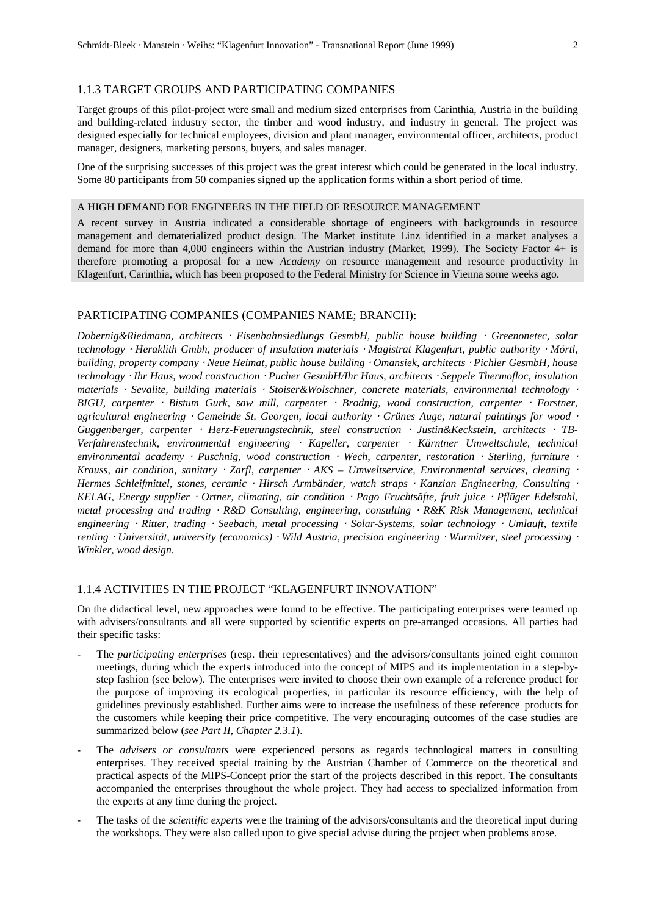# 1.1.3 TARGET GROUPS AND PARTICIPATING COMPANIES

Target groups of this pilot-project were small and medium sized enterprises from Carinthia, Austria in the building and building-related industry sector, the timber and wood industry, and industry in general. The project was designed especially for technical employees, division and plant manager, environmental officer, architects, product manager, designers, marketing persons, buyers, and sales manager.

One of the surprising successes of this project was the great interest which could be generated in the local industry. Some 80 participants from 50 companies signed up the application forms within a short period of time.

#### A HIGH DEMAND FOR ENGINEERS IN THE FIELD OF RESOURCE MANAGEMENT

A recent survey in Austria indicated a considerable shortage of engineers with backgrounds in resource management and dematerialized product design. The Market institute Linz identified in a market analyses a demand for more than 4,000 engineers within the Austrian industry (Market, 1999). The Society Factor 4+ is therefore promoting a proposal for a new *Academy* on resource management and resource productivity in Klagenfurt, Carinthia, which has been proposed to the Federal Ministry for Science in Vienna some weeks ago.

### PARTICIPATING COMPANIES (COMPANIES NAME; BRANCH):

*Dobernig&Riedmann, architects* ⋅ *Eisenbahnsiedlungs GesmbH, public house building* ⋅ *Greenonetec, solar technology* ⋅ *Heraklith Gmbh, producer of insulation materials* ⋅ *Magistrat Klagenfurt, public authority* ⋅ *Mörtl, building, property company* ⋅ *Neue Heimat, public house building* ⋅ *Omansiek, architects* ⋅ *Pichler GesmbH, house technology* ⋅ *Ihr Haus, wood construction* ⋅ *Pucher GesmbH/Ihr Haus, architects* ⋅ *Seppele Thermofloc, insulation materials* ⋅ *Sevalite, building materials* ⋅ *Stoiser&Wolschner, concrete materials, environmental technology* <sup>⋅</sup> *BIGU, carpenter* ⋅ *Bistum Gurk, saw mill, carpenter* ⋅ *Brodnig, wood construction, carpenter* ⋅ *Forstner, agricultural engineering* ⋅ *Gemeinde St. Georgen, local authority* ⋅ *Grünes Auge, natural paintings for wood* <sup>⋅</sup> *Guggenberger, carpenter* ⋅ *Herz-Feuerungstechnik, steel construction* ⋅ *Justin&Keckstein, architects* ⋅ *TB-Verfahrenstechnik, environmental engineering* ⋅ *Kapeller, carpenter* ⋅ *Kärntner Umweltschule, technical environmental academy* ⋅ *Puschnig, wood construction* ⋅ *Wech, carpenter, restoration* ⋅ *Sterling, furniture* <sup>⋅</sup> *Krauss, air condition, sanitary* ⋅ *Zarfl, carpenter* ⋅ *AKS – Umweltservice, Environmental services, cleaning* <sup>⋅</sup> *Hermes Schleifmittel, stones, ceramic* ⋅ *Hirsch Armbänder, watch straps* ⋅ *Kanzian Engineering, Consulting* <sup>⋅</sup> *KELAG, Energy supplier* ⋅ *Ortner, climating, air condition* ⋅ *Pago Fruchtsäfte, fruit juice* ⋅ *Pflüger Edelstahl, metal processing and trading* ⋅ *R&D Consulting, engineering, consulting* ⋅ *R&K Risk Management, technical engineering* ⋅ *Ritter, trading* ⋅ *Seebach, metal processing* ⋅ *Solar-Systems, solar technology* ⋅ *Umlauft, textile renting* ⋅ *Universität, university (economics)* ⋅ *Wild Austria, precision engineering* ⋅ *Wurmitzer, steel processing* <sup>⋅</sup> *Winkler, wood design.*

# 1.1.4 ACTIVITIES IN THE PROJECT "KLAGENFURT INNOVATION"

On the didactical level, new approaches were found to be effective. The participating enterprises were teamed up with advisers/consultants and all were supported by scientific experts on pre-arranged occasions. All parties had their specific tasks:

- The *participating enterprises* (resp. their representatives) and the advisors/consultants joined eight common meetings, during which the experts introduced into the concept of MIPS and its implementation in a step-bystep fashion (see below). The enterprises were invited to choose their own example of a reference product for the purpose of improving its ecological properties, in particular its resource efficiency, with the help of guidelines previously established. Further aims were to increase the usefulness of these reference products for the customers while keeping their price competitive. The very encouraging outcomes of the case studies are summarized below (*see Part II, Chapter 2.3.1*).
- The *advisers or consultants* were experienced persons as regards technological matters in consulting enterprises. They received special training by the Austrian Chamber of Commerce on the theoretical and practical aspects of the MIPS-Concept prior the start of the projects described in this report. The consultants accompanied the enterprises throughout the whole project. They had access to specialized information from the experts at any time during the project.
- The tasks of the *scientific experts* were the training of the advisors/consultants and the theoretical input during the workshops. They were also called upon to give special advise during the project when problems arose.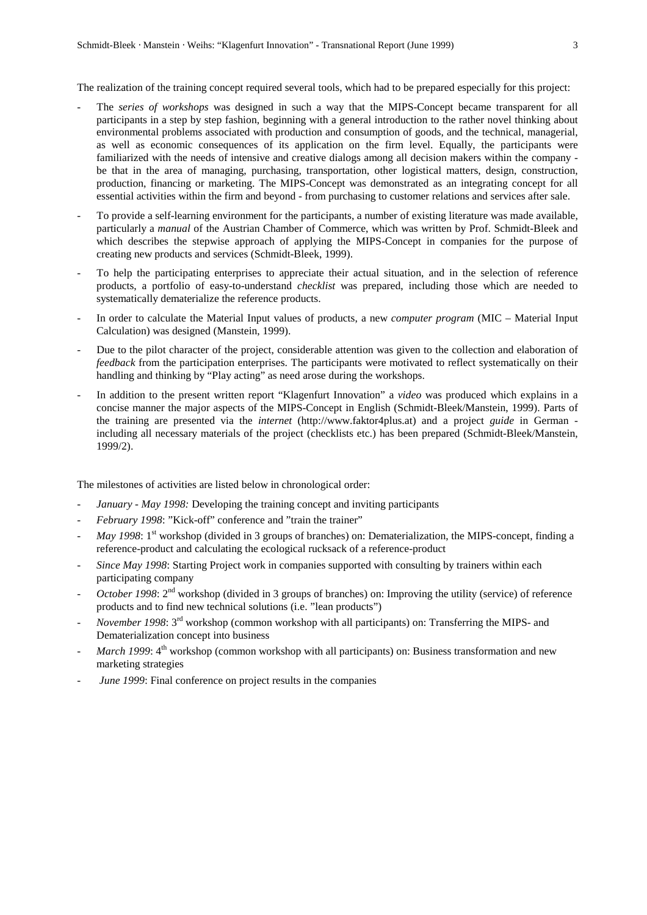The realization of the training concept required several tools, which had to be prepared especially for this project:

- The *series of workshops* was designed in such a way that the MIPS-Concept became transparent for all participants in a step by step fashion, beginning with a general introduction to the rather novel thinking about environmental problems associated with production and consumption of goods, and the technical, managerial, as well as economic consequences of its application on the firm level. Equally, the participants were familiarized with the needs of intensive and creative dialogs among all decision makers within the company be that in the area of managing, purchasing, transportation, other logistical matters, design, construction, production, financing or marketing. The MIPS-Concept was demonstrated as an integrating concept for all essential activities within the firm and beyond - from purchasing to customer relations and services after sale.
- To provide a self-learning environment for the participants, a number of existing literature was made available, particularly a *manual* of the Austrian Chamber of Commerce, which was written by Prof. Schmidt-Bleek and which describes the stepwise approach of applying the MIPS-Concept in companies for the purpose of creating new products and services (Schmidt-Bleek, 1999).
- To help the participating enterprises to appreciate their actual situation, and in the selection of reference products, a portfolio of easy-to-understand *checklist* was prepared, including those which are needed to systematically dematerialize the reference products.
- In order to calculate the Material Input values of products, a new *computer program* (MIC Material Input Calculation) was designed (Manstein, 1999).
- Due to the pilot character of the project, considerable attention was given to the collection and elaboration of *feedback* from the participation enterprises. The participants were motivated to reflect systematically on their handling and thinking by "Play acting" as need arose during the workshops.
- In addition to the present written report "Klagenfurt Innovation" a *video* was produced which explains in a concise manner the major aspects of the MIPS-Concept in English (Schmidt-Bleek/Manstein, 1999). Parts of the training are presented via the *internet* (http://www.faktor4plus.at) and a project *guide* in German including all necessary materials of the project (checklists etc.) has been prepared (Schmidt-Bleek/Manstein, 1999/2).

The milestones of activities are listed below in chronological order:

- *January May 1998:* Developing the training concept and inviting participants
- *February 1998*: "Kick-off" conference and "train the trainer"
- *May 1998*: 1<sup>st</sup> workshop (divided in 3 groups of branches) on: Dematerialization, the MIPS-concept, finding a reference-product and calculating the ecological rucksack of a reference-product
- *Since May 1998*: Starting Project work in companies supported with consulting by trainers within each participating company
- *October 1998*:  $2<sup>nd</sup>$  workshop (divided in 3 groups of branches) on: Improving the utility (service) of reference products and to find new technical solutions (i.e. "lean products")
- *November 1998*: 3<sup>rd</sup> workshop (common workshop with all participants) on: Transferring the MIPS- and Dematerialization concept into business
- *March 1999*: 4<sup>th</sup> workshop (common workshop with all participants) on: Business transformation and new marketing strategies
- *June 1999*: Final conference on project results in the companies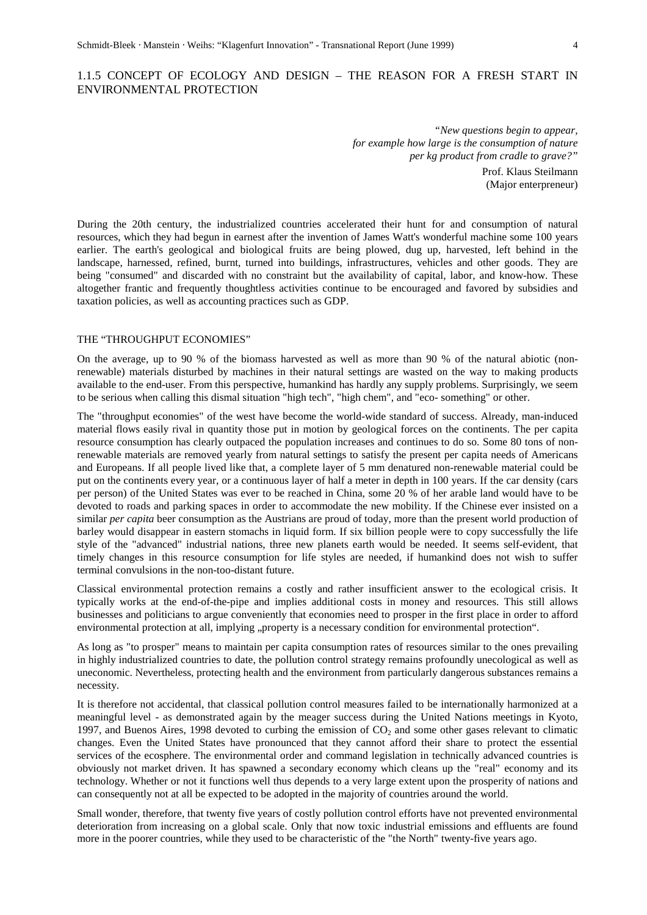# 1.1.5 CONCEPT OF ECOLOGY AND DESIGN – THE REASON FOR A FRESH START IN ENVIRONMENTAL PROTECTION

*"New questions begin to appear, for example how large is the consumption of nature per kg product from cradle to grave?"*

> Prof. Klaus Steilmann (Major enterpreneur)

During the 20th century, the industrialized countries accelerated their hunt for and consumption of natural resources, which they had begun in earnest after the invention of James Watt's wonderful machine some 100 years earlier. The earth's geological and biological fruits are being plowed, dug up, harvested, left behind in the landscape, harnessed, refined, burnt, turned into buildings, infrastructures, vehicles and other goods. They are being "consumed" and discarded with no constraint but the availability of capital, labor, and know-how. These altogether frantic and frequently thoughtless activities continue to be encouraged and favored by subsidies and taxation policies, as well as accounting practices such as GDP.

### THE "THROUGHPUT ECONOMIES"

On the average, up to 90 % of the biomass harvested as well as more than 90 % of the natural abiotic (nonrenewable) materials disturbed by machines in their natural settings are wasted on the way to making products available to the end-user. From this perspective, humankind has hardly any supply problems. Surprisingly, we seem to be serious when calling this dismal situation "high tech", "high chem", and "eco- something" or other.

The "throughput economies" of the west have become the world-wide standard of success. Already, man-induced material flows easily rival in quantity those put in motion by geological forces on the continents. The per capita resource consumption has clearly outpaced the population increases and continues to do so. Some 80 tons of nonrenewable materials are removed yearly from natural settings to satisfy the present per capita needs of Americans and Europeans. If all people lived like that, a complete layer of 5 mm denatured non-renewable material could be put on the continents every year, or a continuous layer of half a meter in depth in 100 years. If the car density (cars per person) of the United States was ever to be reached in China, some 20 % of her arable land would have to be devoted to roads and parking spaces in order to accommodate the new mobility. If the Chinese ever insisted on a similar *per capita* beer consumption as the Austrians are proud of today, more than the present world production of barley would disappear in eastern stomachs in liquid form. If six billion people were to copy successfully the life style of the "advanced" industrial nations, three new planets earth would be needed. It seems self-evident, that timely changes in this resource consumption for life styles are needed, if humankind does not wish to suffer terminal convulsions in the non-too-distant future.

Classical environmental protection remains a costly and rather insufficient answer to the ecological crisis. It typically works at the end-of-the-pipe and implies additional costs in money and resources. This still allows businesses and politicians to argue conveniently that economies need to prosper in the first place in order to afford environmental protection at all, implying "property is a necessary condition for environmental protection".

As long as "to prosper" means to maintain per capita consumption rates of resources similar to the ones prevailing in highly industrialized countries to date, the pollution control strategy remains profoundly unecological as well as uneconomic. Nevertheless, protecting health and the environment from particularly dangerous substances remains a necessity.

It is therefore not accidental, that classical pollution control measures failed to be internationally harmonized at a meaningful level - as demonstrated again by the meager success during the United Nations meetings in Kyoto, 1997, and Buenos Aires, 1998 devoted to curbing the emission of  $CO<sub>2</sub>$  and some other gases relevant to climatic changes. Even the United States have pronounced that they cannot afford their share to protect the essential services of the ecosphere. The environmental order and command legislation in technically advanced countries is obviously not market driven. It has spawned a secondary economy which cleans up the "real" economy and its technology. Whether or not it functions well thus depends to a very large extent upon the prosperity of nations and can consequently not at all be expected to be adopted in the majority of countries around the world.

Small wonder, therefore, that twenty five years of costly pollution control efforts have not prevented environmental deterioration from increasing on a global scale. Only that now toxic industrial emissions and effluents are found more in the poorer countries, while they used to be characteristic of the "the North" twenty-five years ago.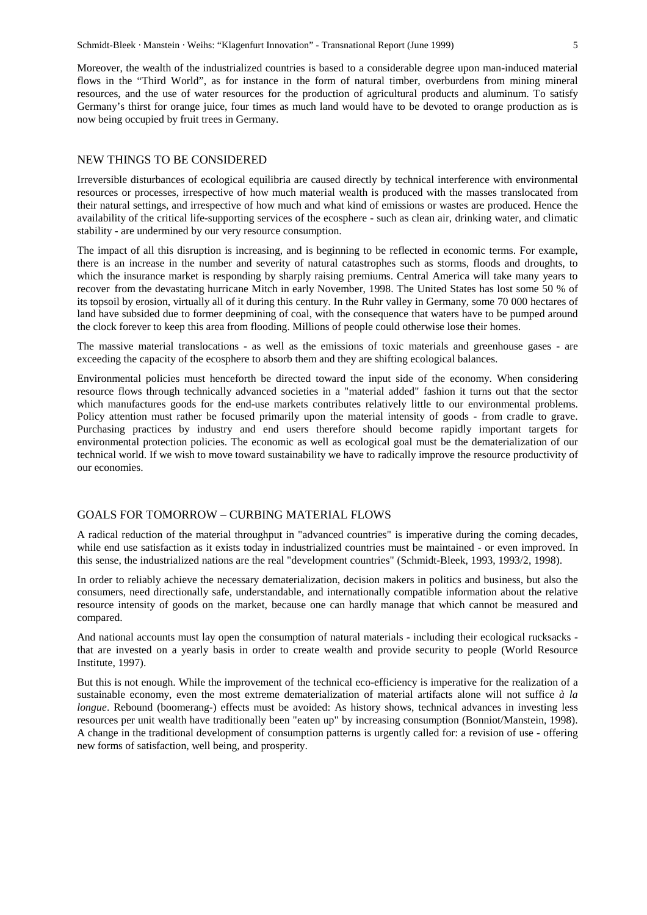Moreover, the wealth of the industrialized countries is based to a considerable degree upon man-induced material flows in the "Third World", as for instance in the form of natural timber, overburdens from mining mineral resources, and the use of water resources for the production of agricultural products and aluminum. To satisfy Germany's thirst for orange juice, four times as much land would have to be devoted to orange production as is now being occupied by fruit trees in Germany.

# NEW THINGS TO BE CONSIDERED

Irreversible disturbances of ecological equilibria are caused directly by technical interference with environmental resources or processes, irrespective of how much material wealth is produced with the masses translocated from their natural settings, and irrespective of how much and what kind of emissions or wastes are produced. Hence the availability of the critical life-supporting services of the ecosphere - such as clean air, drinking water, and climatic stability - are undermined by our very resource consumption.

The impact of all this disruption is increasing, and is beginning to be reflected in economic terms. For example, there is an increase in the number and severity of natural catastrophes such as storms, floods and droughts, to which the insurance market is responding by sharply raising premiums. Central America will take many years to recover from the devastating hurricane Mitch in early November, 1998. The United States has lost some 50 % of its topsoil by erosion, virtually all of it during this century. In the Ruhr valley in Germany, some 70 000 hectares of land have subsided due to former deepmining of coal, with the consequence that waters have to be pumped around the clock forever to keep this area from flooding. Millions of people could otherwise lose their homes.

The massive material translocations - as well as the emissions of toxic materials and greenhouse gases - are exceeding the capacity of the ecosphere to absorb them and they are shifting ecological balances.

Environmental policies must henceforth be directed toward the input side of the economy. When considering resource flows through technically advanced societies in a "material added" fashion it turns out that the sector which manufactures goods for the end-use markets contributes relatively little to our environmental problems. Policy attention must rather be focused primarily upon the material intensity of goods - from cradle to grave. Purchasing practices by industry and end users therefore should become rapidly important targets for environmental protection policies. The economic as well as ecological goal must be the dematerialization of our technical world. If we wish to move toward sustainability we have to radically improve the resource productivity of our economies.

#### GOALS FOR TOMORROW – CURBING MATERIAL FLOWS

A radical reduction of the material throughput in "advanced countries" is imperative during the coming decades, while end use satisfaction as it exists today in industrialized countries must be maintained - or even improved. In this sense, the industrialized nations are the real "development countries" (Schmidt-Bleek, 1993, 1993/2, 1998).

In order to reliably achieve the necessary dematerialization, decision makers in politics and business, but also the consumers, need directionally safe, understandable, and internationally compatible information about the relative resource intensity of goods on the market, because one can hardly manage that which cannot be measured and compared.

And national accounts must lay open the consumption of natural materials - including their ecological rucksacks that are invested on a yearly basis in order to create wealth and provide security to people (World Resource Institute, 1997).

But this is not enough. While the improvement of the technical eco-efficiency is imperative for the realization of a sustainable economy, even the most extreme dematerialization of material artifacts alone will not suffice *à la longue*. Rebound (boomerang-) effects must be avoided: As history shows, technical advances in investing less resources per unit wealth have traditionally been "eaten up" by increasing consumption (Bonniot/Manstein, 1998). A change in the traditional development of consumption patterns is urgently called for: a revision of use - offering new forms of satisfaction, well being, and prosperity.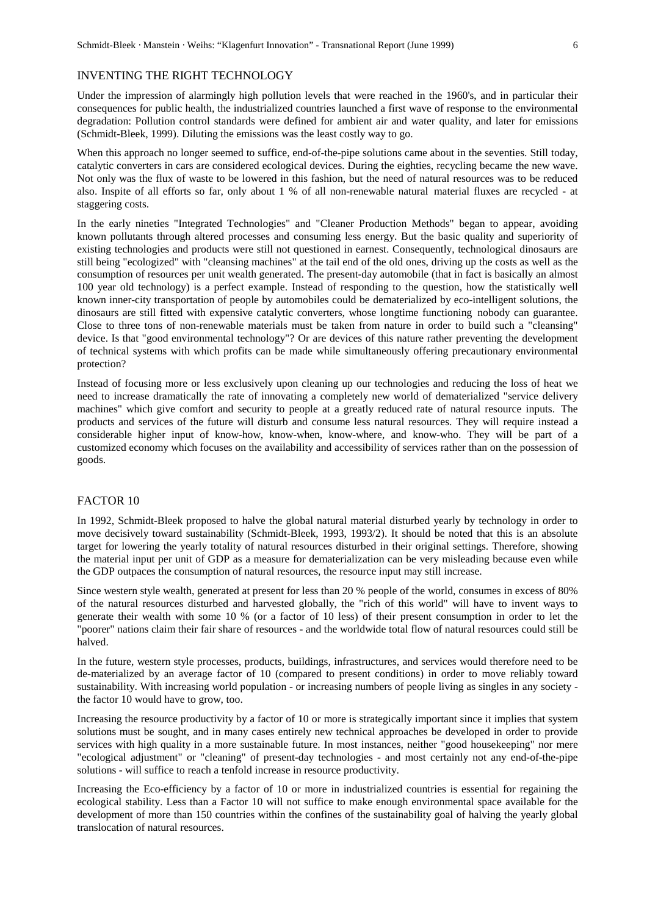#### INVENTING THE RIGHT TECHNOLOGY

Under the impression of alarmingly high pollution levels that were reached in the 1960's, and in particular their consequences for public health, the industrialized countries launched a first wave of response to the environmental degradation: Pollution control standards were defined for ambient air and water quality, and later for emissions (Schmidt-Bleek, 1999). Diluting the emissions was the least costly way to go.

When this approach no longer seemed to suffice, end-of-the-pipe solutions came about in the seventies. Still today, catalytic converters in cars are considered ecological devices. During the eighties, recycling became the new wave. Not only was the flux of waste to be lowered in this fashion, but the need of natural resources was to be reduced also. Inspite of all efforts so far, only about 1 % of all non-renewable natural material fluxes are recycled - at staggering costs.

In the early nineties "Integrated Technologies" and "Cleaner Production Methods" began to appear, avoiding known pollutants through altered processes and consuming less energy. But the basic quality and superiority of existing technologies and products were still not questioned in earnest. Consequently, technological dinosaurs are still being "ecologized" with "cleansing machines" at the tail end of the old ones, driving up the costs as well as the consumption of resources per unit wealth generated. The present-day automobile (that in fact is basically an almost 100 year old technology) is a perfect example. Instead of responding to the question, how the statistically well known inner-city transportation of people by automobiles could be dematerialized by eco-intelligent solutions, the dinosaurs are still fitted with expensive catalytic converters, whose longtime functioning nobody can guarantee. Close to three tons of non-renewable materials must be taken from nature in order to build such a "cleansing" device. Is that "good environmental technology"? Or are devices of this nature rather preventing the development of technical systems with which profits can be made while simultaneously offering precautionary environmental protection?

Instead of focusing more or less exclusively upon cleaning up our technologies and reducing the loss of heat we need to increase dramatically the rate of innovating a completely new world of dematerialized "service delivery machines" which give comfort and security to people at a greatly reduced rate of natural resource inputs. The products and services of the future will disturb and consume less natural resources. They will require instead a considerable higher input of know-how, know-when, know-where, and know-who. They will be part of a customized economy which focuses on the availability and accessibility of services rather than on the possession of goods.

#### FACTOR 10

In 1992, Schmidt-Bleek proposed to halve the global natural material disturbed yearly by technology in order to move decisively toward sustainability (Schmidt-Bleek, 1993, 1993/2). It should be noted that this is an absolute target for lowering the yearly totality of natural resources disturbed in their original settings. Therefore, showing the material input per unit of GDP as a measure for dematerialization can be very misleading because even while the GDP outpaces the consumption of natural resources, the resource input may still increase.

Since western style wealth, generated at present for less than 20 % people of the world, consumes in excess of 80% of the natural resources disturbed and harvested globally, the "rich of this world" will have to invent ways to generate their wealth with some 10 % (or a factor of 10 less) of their present consumption in order to let the "poorer" nations claim their fair share of resources - and the worldwide total flow of natural resources could still be halved.

In the future, western style processes, products, buildings, infrastructures, and services would therefore need to be de-materialized by an average factor of 10 (compared to present conditions) in order to move reliably toward sustainability. With increasing world population - or increasing numbers of people living as singles in any society the factor 10 would have to grow, too.

Increasing the resource productivity by a factor of 10 or more is strategically important since it implies that system solutions must be sought, and in many cases entirely new technical approaches be developed in order to provide services with high quality in a more sustainable future. In most instances, neither "good housekeeping" nor mere "ecological adjustment" or "cleaning" of present-day technologies - and most certainly not any end-of-the-pipe solutions - will suffice to reach a tenfold increase in resource productivity.

Increasing the Eco-efficiency by a factor of 10 or more in industrialized countries is essential for regaining the ecological stability. Less than a Factor 10 will not suffice to make enough environmental space available for the development of more than 150 countries within the confines of the sustainability goal of halving the yearly global translocation of natural resources.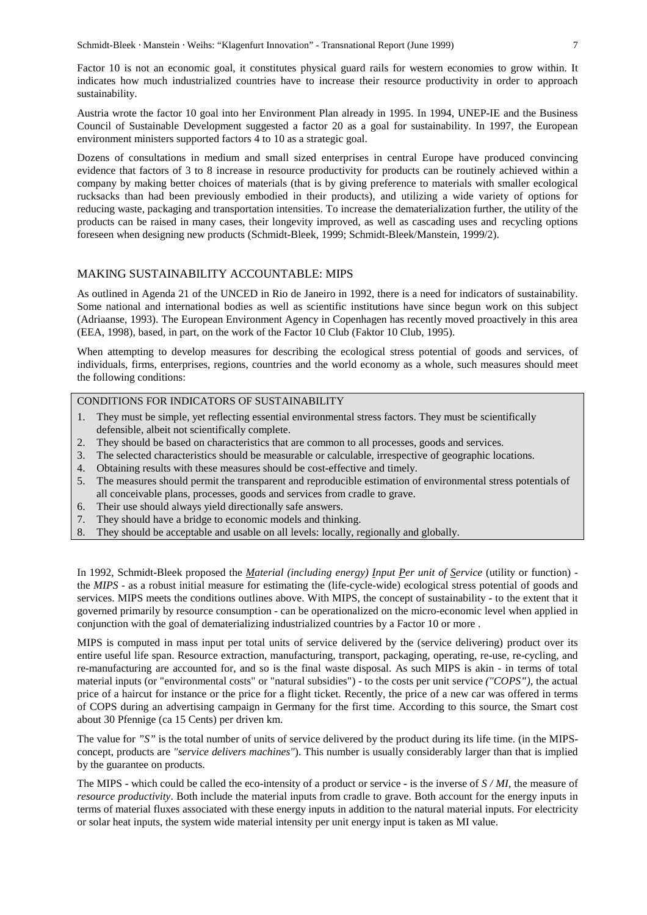Factor 10 is not an economic goal, it constitutes physical guard rails for western economies to grow within. It indicates how much industrialized countries have to increase their resource productivity in order to approach sustainability.

Austria wrote the factor 10 goal into her Environment Plan already in 1995. In 1994, UNEP-IE and the Business Council of Sustainable Development suggested a factor 20 as a goal for sustainability. In 1997, the European environment ministers supported factors 4 to 10 as a strategic goal.

Dozens of consultations in medium and small sized enterprises in central Europe have produced convincing evidence that factors of 3 to 8 increase in resource productivity for products can be routinely achieved within a company by making better choices of materials (that is by giving preference to materials with smaller ecological rucksacks than had been previously embodied in their products), and utilizing a wide variety of options for reducing waste, packaging and transportation intensities. To increase the dematerialization further, the utility of the products can be raised in many cases, their longevity improved, as well as cascading uses and recycling options foreseen when designing new products (Schmidt-Bleek, 1999; Schmidt-Bleek/Manstein, 1999/2).

#### MAKING SUSTAINABILITY ACCOUNTABLE: MIPS

As outlined in Agenda 21 of the UNCED in Rio de Janeiro in 1992, there is a need for indicators of sustainability. Some national and international bodies as well as scientific institutions have since begun work on this subject (Adriaanse, 1993). The European Environment Agency in Copenhagen has recently moved proactively in this area (EEA, 1998), based, in part, on the work of the Factor 10 Club (Faktor 10 Club, 1995).

When attempting to develop measures for describing the ecological stress potential of goods and services, of individuals, firms, enterprises, regions, countries and the world economy as a whole, such measures should meet the following conditions:

# CONDITIONS FOR INDICATORS OF SUSTAINABILITY

- 1. They must be simple, yet reflecting essential environmental stress factors. They must be scientifically defensible, albeit not scientifically complete.
- 2. They should be based on characteristics that are common to all processes, goods and services.
- 3. The selected characteristics should be measurable or calculable, irrespective of geographic locations.
- 4. Obtaining results with these measures should be cost-effective and timely.
- 5. The measures should permit the transparent and reproducible estimation of environmental stress potentials of all conceivable plans, processes, goods and services from cradle to grave.
- 6. Their use should always yield directionally safe answers.
- 7. They should have a bridge to economic models and thinking.
- 8. They should be acceptable and usable on all levels: locally, regionally and globally.

In 1992, Schmidt-Bleek proposed the *Material (including energy) Input Per unit of Service* (utility or function) the *MIPS* - as a robust initial measure for estimating the (life-cycle-wide) ecological stress potential of goods and services. MIPS meets the conditions outlines above. With MIPS, the concept of sustainability - to the extent that it governed primarily by resource consumption - can be operationalized on the micro-economic level when applied in conjunction with the goal of dematerializing industrialized countries by a Factor 10 or more .

MIPS is computed in mass input per total units of service delivered by the (service delivering) product over its entire useful life span. Resource extraction, manufacturing, transport, packaging, operating, re-use, re-cycling, and re-manufacturing are accounted for, and so is the final waste disposal. As such MIPS is akin - in terms of total material inputs (or "environmental costs" or "natural subsidies") - to the costs per unit service *("COPS")*, the actual price of a haircut for instance or the price for a flight ticket. Recently, the price of a new car was offered in terms of COPS during an advertising campaign in Germany for the first time. According to this source, the Smart cost about 30 Pfennige (ca 15 Cents) per driven km.

The value for *"S"* is the total number of units of service delivered by the product during its life time. (in the MIPSconcept, products are *"service delivers machines"*). This number is usually considerably larger than that is implied by the guarantee on products.

The MIPS - which could be called the eco-intensity of a product or service **-** is the inverse of *S / MI*, the measure of *resource productivity*. Both include the material inputs from cradle to grave. Both account for the energy inputs in terms of material fluxes associated with these energy inputs in addition to the natural material inputs. For electricity or solar heat inputs, the system wide material intensity per unit energy input is taken as MI value.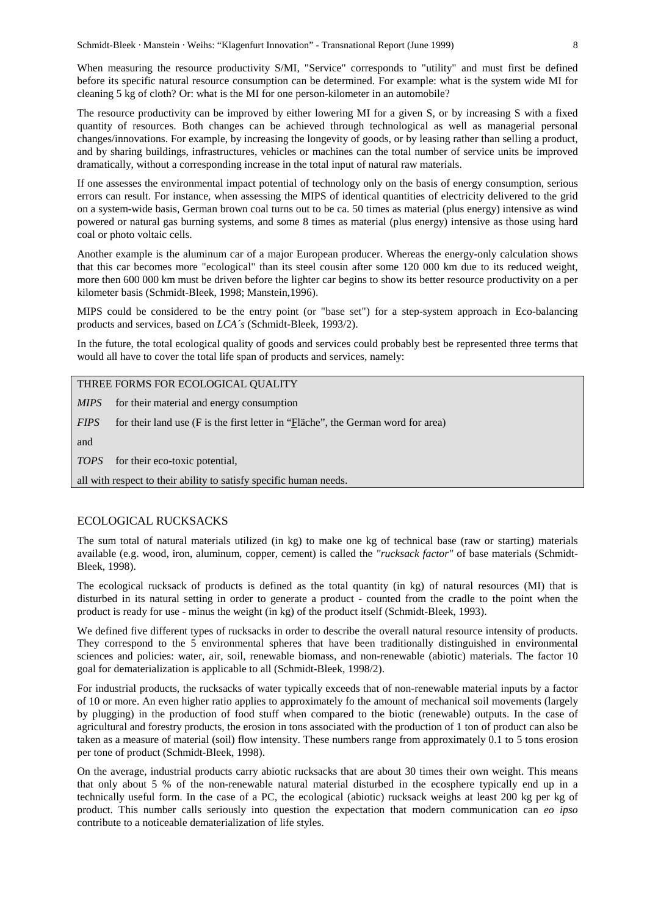When measuring the resource productivity S/MI, "Service" corresponds to "utility" and must first be defined before its specific natural resource consumption can be determined. For example: what is the system wide MI for cleaning 5 kg of cloth? Or: what is the MI for one person-kilometer in an automobile?

The resource productivity can be improved by either lowering MI for a given S, or by increasing S with a fixed quantity of resources. Both changes can be achieved through technological as well as managerial personal changes/innovations. For example, by increasing the longevity of goods, or by leasing rather than selling a product, and by sharing buildings, infrastructures, vehicles or machines can the total number of service units be improved dramatically, without a corresponding increase in the total input of natural raw materials.

If one assesses the environmental impact potential of technology only on the basis of energy consumption, serious errors can result. For instance, when assessing the MIPS of identical quantities of electricity delivered to the grid on a system-wide basis, German brown coal turns out to be ca. 50 times as material (plus energy) intensive as wind powered or natural gas burning systems, and some 8 times as material (plus energy) intensive as those using hard coal or photo voltaic cells.

Another example is the aluminum car of a major European producer. Whereas the energy-only calculation shows that this car becomes more "ecological" than its steel cousin after some 120 000 km due to its reduced weight, more then 600 000 km must be driven before the lighter car begins to show its better resource productivity on a per kilometer basis (Schmidt-Bleek, 1998; Manstein,1996).

MIPS could be considered to be the entry point (or "base set") for a step-system approach in Eco-balancing products and services, based on *LCA´s* (Schmidt-Bleek, 1993/2).

In the future, the total ecological quality of goods and services could probably best be represented three terms that would all have to cover the total life span of products and services, namely:

THREE FORMS FOR ECOLOGICAL QUALITY

*MIPS* for their material and energy consumption

*FIPS* for their land use (F is the first letter in "Fläche", the German word for area)

and

*TOPS* for their eco-toxic potential,

all with respect to their ability to satisfy specific human needs.

#### ECOLOGICAL RUCKSACKS

The sum total of natural materials utilized (in kg) to make one kg of technical base (raw or starting) materials available (e.g. wood, iron, aluminum, copper, cement) is called the *"rucksack factor"* of base materials (Schmidt-Bleek, 1998).

The ecological rucksack of products is defined as the total quantity (in kg) of natural resources (MI) that is disturbed in its natural setting in order to generate a product - counted from the cradle to the point when the product is ready for use - minus the weight (in kg) of the product itself (Schmidt-Bleek, 1993).

We defined five different types of rucksacks in order to describe the overall natural resource intensity of products. They correspond to the 5 environmental spheres that have been traditionally distinguished in environmental sciences and policies: water, air, soil, renewable biomass, and non-renewable (abiotic) materials. The factor 10 goal for dematerialization is applicable to all (Schmidt-Bleek, 1998/2).

For industrial products, the rucksacks of water typically exceeds that of non-renewable material inputs by a factor of 10 or more. An even higher ratio applies to approximately fo the amount of mechanical soil movements (largely by plugging) in the production of food stuff when compared to the biotic (renewable) outputs. In the case of agricultural and forestry products, the erosion in tons associated with the production of 1 ton of product can also be taken as a measure of material (soil) flow intensity. These numbers range from approximately 0.1 to 5 tons erosion per tone of product (Schmidt-Bleek, 1998).

On the average, industrial products carry abiotic rucksacks that are about 30 times their own weight. This means that only about 5 % of the non-renewable natural material disturbed in the ecosphere typically end up in a technically useful form. In the case of a PC, the ecological (abiotic) rucksack weighs at least 200 kg per kg of product. This number calls seriously into question the expectation that modern communication can *eo ipso* contribute to a noticeable dematerialization of life styles.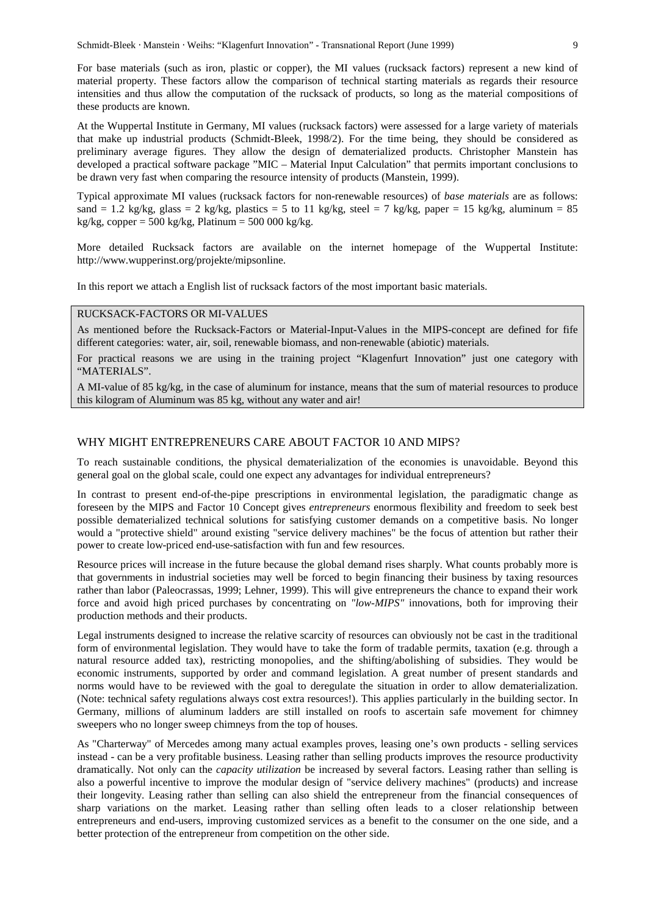For base materials (such as iron, plastic or copper), the MI values (rucksack factors) represent a new kind of material property. These factors allow the comparison of technical starting materials as regards their resource intensities and thus allow the computation of the rucksack of products, so long as the material compositions of these products are known.

At the Wuppertal Institute in Germany, MI values (rucksack factors) were assessed for a large variety of materials that make up industrial products (Schmidt-Bleek, 1998/2). For the time being, they should be considered as preliminary average figures. They allow the design of dematerialized products. Christopher Manstein has developed a practical software package "MIC – Material Input Calculation" that permits important conclusions to be drawn very fast when comparing the resource intensity of products (Manstein, 1999).

Typical approximate MI values (rucksack factors for non-renewable resources) of *base materials* are as follows: sand = 1.2 kg/kg, glass = 2 kg/kg, plastics = 5 to 11 kg/kg, steel = 7 kg/kg, paper = 15 kg/kg, aluminum = 85 kg/kg, copper =  $500 \text{ kg/kg}$ , Platinum =  $500\,000 \text{ kg/kg}$ .

More detailed Rucksack factors are available on the internet homepage of the Wuppertal Institute: http://www.wupperinst.org/projekte/mipsonline.

In this report we attach a English list of rucksack factors of the most important basic materials.

#### RUCKSACK-FACTORS OR MI-VALUES

As mentioned before the Rucksack-Factors or Material-Input-Values in the MIPS-concept are defined for fife different categories: water, air, soil, renewable biomass, and non-renewable (abiotic) materials.

For practical reasons we are using in the training project "Klagenfurt Innovation" just one category with "MATERIALS".

A MI-value of 85 kg/kg, in the case of aluminum for instance, means that the sum of material resources to produce this kilogram of Aluminum was 85 kg, without any water and air!

#### WHY MIGHT ENTREPRENEURS CARE ABOUT FACTOR 10 AND MIPS?

To reach sustainable conditions, the physical dematerialization of the economies is unavoidable. Beyond this general goal on the global scale, could one expect any advantages for individual entrepreneurs?

In contrast to present end-of-the-pipe prescriptions in environmental legislation, the paradigmatic change as foreseen by the MIPS and Factor 10 Concept gives *entrepreneurs* enormous flexibility and freedom to seek best possible dematerialized technical solutions for satisfying customer demands on a competitive basis. No longer would a "protective shield" around existing "service delivery machines" be the focus of attention but rather their power to create low-priced end-use-satisfaction with fun and few resources.

Resource prices will increase in the future because the global demand rises sharply. What counts probably more is that governments in industrial societies may well be forced to begin financing their business by taxing resources rather than labor (Paleocrassas, 1999; Lehner, 1999). This will give entrepreneurs the chance to expand their work force and avoid high priced purchases by concentrating on *"low-MIPS"* innovations, both for improving their production methods and their products.

Legal instruments designed to increase the relative scarcity of resources can obviously not be cast in the traditional form of environmental legislation. They would have to take the form of tradable permits, taxation (e.g. through a natural resource added tax), restricting monopolies, and the shifting/abolishing of subsidies. They would be economic instruments, supported by order and command legislation. A great number of present standards and norms would have to be reviewed with the goal to deregulate the situation in order to allow dematerialization. (Note: technical safety regulations always cost extra resources!). This applies particularly in the building sector. In Germany, millions of aluminum ladders are still installed on roofs to ascertain safe movement for chimney sweepers who no longer sweep chimneys from the top of houses.

As "Charterway" of Mercedes among many actual examples proves, leasing one's own products - selling services instead - can be a very profitable business. Leasing rather than selling products improves the resource productivity dramatically. Not only can the *capacity utilization* be increased by several factors. Leasing rather than selling is also a powerful incentive to improve the modular design of "service delivery machines" (products) and increase their longevity. Leasing rather than selling can also shield the entrepreneur from the financial consequences of sharp variations on the market. Leasing rather than selling often leads to a closer relationship between entrepreneurs and end-users, improving customized services as a benefit to the consumer on the one side, and a better protection of the entrepreneur from competition on the other side.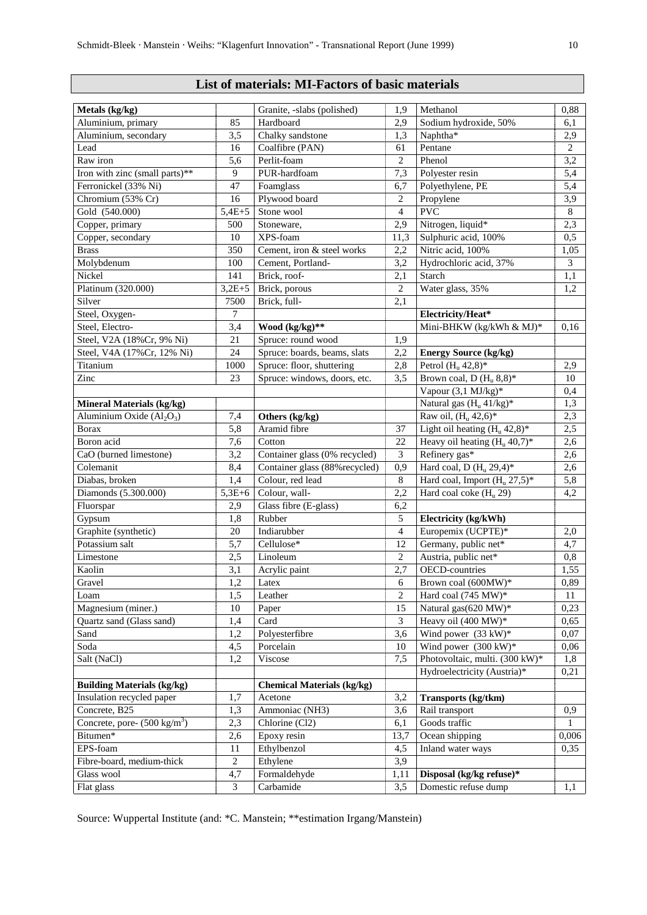# **List of materials: MI-Factors of basic materials**

| Metals (kg/kg)                         |                | Granite, -slabs (polished)        | 1,9            | Methanol                         | 0,88           |
|----------------------------------------|----------------|-----------------------------------|----------------|----------------------------------|----------------|
| Aluminium, primary                     | 85             | Hardboard                         | 2,9            | Sodium hydroxide, 50%            | 6,1            |
| Aluminium, secondary                   | 3,5            | Chalky sandstone                  | 1,3            | Naphtha*                         | 2,9            |
| Lead                                   | 16             | Coalfibre (PAN)                   | 61             | Pentane                          | $\overline{2}$ |
| Raw iron                               | 5,6            | Perlit-foam                       | $\mathbf{2}$   | Phenol                           | 3,2            |
| Iron with zinc (small parts)**         | 9              | PUR-hardfoam                      | 7,3            | Polyester resin                  | 5,4            |
| Ferronickel (33% Ni)                   | 47             | Foamglass                         | 6,7            | Polyethylene, PE                 | 5,4            |
| Chromium (53% Cr)                      | 16             | Plywood board                     | $\overline{c}$ | Propylene                        | 3,9            |
| Gold (540.000)                         | $5,4E+5$       | Stone wool                        | $\overline{4}$ | <b>PVC</b>                       | $\,8\,$        |
| Copper, primary                        | 500            | Stoneware,                        | 2,9            | Nitrogen, liquid*                | 2,3            |
| Copper, secondary                      | 10             | XPS-foam                          | 11,3           | Sulphuric acid, 100%             | 0,5            |
| <b>Brass</b>                           | 350            | Cement, iron & steel works        | 2,2            | Nitric acid, 100%                | 1,05           |
| Molybdenum                             | 100            | Cement, Portland-                 | 3,2            | Hydrochloric acid, 37%           | $\mathfrak{Z}$ |
| Nickel                                 | 141            | Brick, roof-                      | 2,1            | Starch                           | 1,1            |
| Platinum (320.000)                     | $3,2E+5$       | Brick, porous                     | 2              | Water glass, 35%                 | 1,2            |
| Silver                                 | 7500           | Brick, full-                      | 2,1            |                                  |                |
| Steel, Oxygen-                         | $\tau$         |                                   |                | Electricity/Heat*                |                |
| Steel, Electro-                        | 3,4            | Wood (kg/kg)**                    |                | Mini-BHKW (kg/kWh & MJ)*         | 0,16           |
| Steel, V2A (18%Cr, 9% Ni)              | 21             | Spruce: round wood                | 1,9            |                                  |                |
| Steel, V4A (17%Cr, 12% Ni)             | 24             | Spruce: boards, beams, slats      | 2,2            | <b>Energy Source (kg/kg)</b>     |                |
| Titanium                               | 1000           | Spruce: floor, shuttering         | 2,8            | Petrol $(H_u 42,8)^*$            | 2,9            |
| Zinc                                   | 23             | Spruce: windows, doors, etc.      | 3,5            | Brown coal, D $(H_u 8,8)^*$      | 10             |
|                                        |                |                                   |                | Vapour (3,1 MJ/kg)*              | 0,4            |
| <b>Mineral Materials (kg/kg)</b>       |                |                                   |                | Natural gas $(H_u 41/kg)^*$      | 1,3            |
| Aluminium Oxide $(Al2O3)$              | 7,4            | Others (kg/kg)                    |                | Raw oil, $(H_u 42, 6)^*$         | 2,3            |
| <b>Borax</b>                           | 5,8            | Aramid fibre                      | 37             | Light oil heating $(H_u 42,8)^*$ | 2,5            |
| Boron acid                             | 7,6            | Cotton                            | 22             | Heavy oil heating $(H_u 40.7)^*$ | 2,6            |
| CaO (burned limestone)                 | 3,2            | Container glass (0% recycled)     | 3              | Refinery gas*                    | 2,6            |
| Colemanit                              | 8,4            | Container glass (88% recycled)    | 0,9            | Hard coal, D $(H_u 29,4)^*$      | 2,6            |
| Diabas, broken                         | 1,4            | Colour, red lead                  | $\,8\,$        | Hard coal, Import $(H_u 27.5)^*$ | 5,8            |
| Diamonds (5.300.000)                   | $5,3E+6$       | Colour, wall-                     | 2,2            | Hard coal coke $(H_u 29)$        | 4,2            |
| Fluorspar                              | 2,9            | Glass fibre (E-glass)             | 6,2            |                                  |                |
| Gypsum                                 | 1,8            | Rubber                            | 5              | Electricity (kg/kWh)             |                |
| Graphite (synthetic)                   | 20             | Indiarubber                       | $\overline{4}$ | Europemix (UCPTE)*               | 2,0            |
| Potassium salt                         | 5,7            | Cellulose*                        | 12             | Germany, public net*             | 4,7            |
| Limestone                              | 2,5            | Linoleum                          | $\overline{c}$ | Austria, public net*             | 0,8            |
| Kaolin                                 | 3,1            | Acrylic paint                     | 2,7            | <b>OECD-countries</b>            | 1,55           |
| Gravel                                 | 1,2            | Latex                             | 6              | Brown coal (600MW)*              | 0,89           |
| $\mathop{\mathrm{Loom}}$               | 1,5            | Leather                           | $\mathbf{2}$   | Hard coal (745 MW)*              | $11\,$         |
| Magnesium (miner.)                     | 10             | Paper                             | 15             | Natural gas(620 MW)*             | 0,23           |
| Quartz sand (Glass sand)               | 1,4            | Card                              | 3              | Heavy oil (400 MW)*              | 0,65           |
| Sand                                   | 1,2            | Polyesterfibre                    | 3,6            | Wind power $(33 \text{ kW})^*$   | 0,07           |
| Soda                                   | 4,5            | Porcelain                         | 10             | Wind power $(300 \text{ kW})^*$  | 0,06           |
| Salt (NaCl)                            | 1,2            | Viscose                           | 7,5            | Photovoltaic, multi. (300 kW)*   | 1,8            |
|                                        |                |                                   |                | Hydroelectricity (Austria)*      | 0,21           |
| <b>Building Materials (kg/kg)</b>      |                | <b>Chemical Materials (kg/kg)</b> |                |                                  |                |
| Insulation recycled paper              | 1,7            | Acetone                           | 3,2            | Transports (kg/tkm)              |                |
| Concrete, B25                          | 1,3            | Ammoniac (NH3)                    | 3,6            | Rail transport                   | 0,9            |
| Concrete, pore- $(500 \text{ kg/m}^3)$ | 2,3            | Chlorine (Cl2)                    | 6,1            | Goods traffic                    | 1              |
| Bitumen*                               | 2,6            | Epoxy resin                       | 13,7           | Ocean shipping                   | 0,006          |
| EPS-foam                               | $11\,$         | Ethylbenzol                       | 4,5            | Inland water ways                | 0,35           |
| Fibre-board, medium-thick              | $\overline{2}$ | Ethylene                          | 3,9            |                                  |                |
| Glass wool                             | 4,7            | Formaldehyde                      | 1,11           | Disposal (kg/kg refuse)*         |                |
| Flat glass                             | $\mathfrak{Z}$ | Carbamide                         | 3,5            | Domestic refuse dump             | 1,1            |
|                                        |                |                                   |                |                                  |                |

Source: Wuppertal Institute (and: \*C. Manstein; \*\*estimation Irgang/Manstein)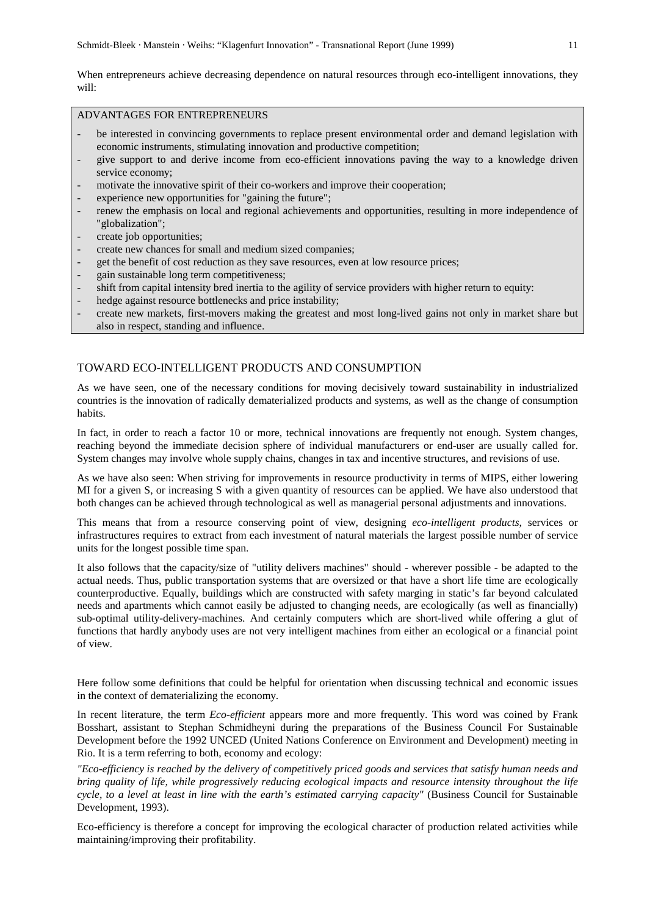When entrepreneurs achieve decreasing dependence on natural resources through eco-intelligent innovations, they will:

# ADVANTAGES FOR ENTREPRENEURS

- be interested in convincing governments to replace present environmental order and demand legislation with economic instruments, stimulating innovation and productive competition;
- give support to and derive income from eco-efficient innovations paving the way to a knowledge driven service economy;
- motivate the innovative spirit of their co-workers and improve their cooperation;
- experience new opportunities for "gaining the future";
- renew the emphasis on local and regional achievements and opportunities, resulting in more independence of "globalization";
- create job opportunities;
- create new chances for small and medium sized companies;
- get the benefit of cost reduction as they save resources, even at low resource prices;
- gain sustainable long term competitiveness;
- shift from capital intensity bred inertia to the agility of service providers with higher return to equity:
- hedge against resource bottlenecks and price instability;
- create new markets, first-movers making the greatest and most long-lived gains not only in market share but also in respect, standing and influence.

## TOWARD ECO-INTELLIGENT PRODUCTS AND CONSUMPTION

As we have seen, one of the necessary conditions for moving decisively toward sustainability in industrialized countries is the innovation of radically dematerialized products and systems, as well as the change of consumption habits.

In fact, in order to reach a factor 10 or more, technical innovations are frequently not enough. System changes, reaching beyond the immediate decision sphere of individual manufacturers or end-user are usually called for. System changes may involve whole supply chains, changes in tax and incentive structures, and revisions of use.

As we have also seen: When striving for improvements in resource productivity in terms of MIPS, either lowering MI for a given S, or increasing S with a given quantity of resources can be applied. We have also understood that both changes can be achieved through technological as well as managerial personal adjustments and innovations.

This means that from a resource conserving point of view, designing *eco-intelligent products*, services or infrastructures requires to extract from each investment of natural materials the largest possible number of service units for the longest possible time span.

It also follows that the capacity/size of "utility delivers machines" should - wherever possible - be adapted to the actual needs. Thus, public transportation systems that are oversized or that have a short life time are ecologically counterproductive. Equally, buildings which are constructed with safety marging in static's far beyond calculated needs and apartments which cannot easily be adjusted to changing needs, are ecologically (as well as financially) sub-optimal utility-delivery-machines. And certainly computers which are short-lived while offering a glut of functions that hardly anybody uses are not very intelligent machines from either an ecological or a financial point of view.

Here follow some definitions that could be helpful for orientation when discussing technical and economic issues in the context of dematerializing the economy.

In recent literature, the term *Eco-efficient* appears more and more frequently. This word was coined by Frank Bosshart, assistant to Stephan Schmidheyni during the preparations of the Business Council For Sustainable Development before the 1992 UNCED (United Nations Conference on Environment and Development) meeting in Rio. It is a term referring to both, economy and ecology:

*"Eco-efficiency is reached by the delivery of competitively priced goods and services that satisfy human needs and bring quality of life, while progressively reducing ecological impacts and resource intensity throughout the life cycle, to a level at least in line with the earth's estimated carrying capacity"* (Business Council for Sustainable Development, 1993).

Eco-efficiency is therefore a concept for improving the ecological character of production related activities while maintaining/improving their profitability.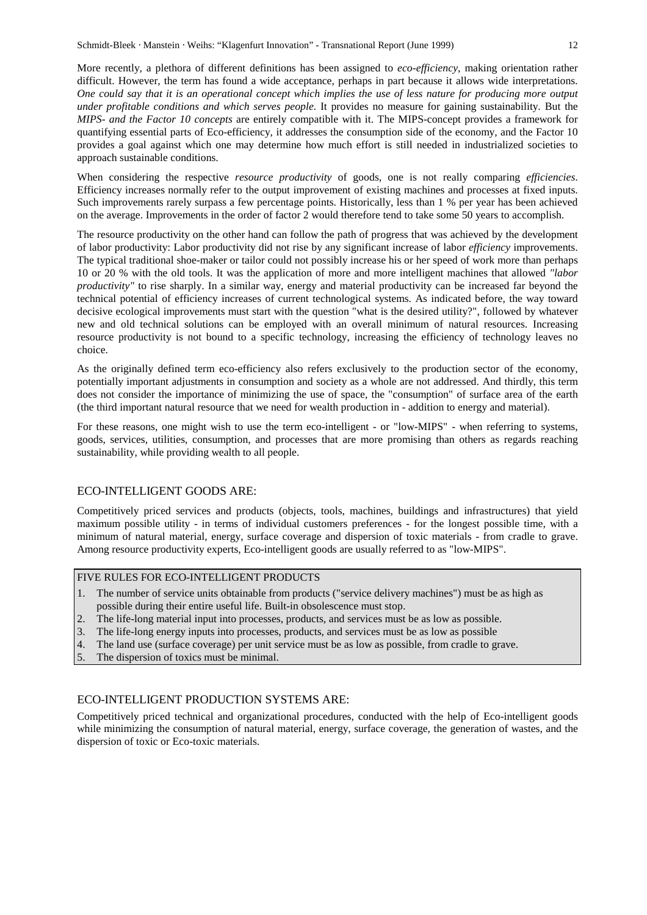More recently, a plethora of different definitions has been assigned to *eco-efficiency*, making orientation rather difficult. However, the term has found a wide acceptance, perhaps in part because it allows wide interpretations. *One could say that it is an operational concept which implies the use of less nature for producing more output under profitable conditions and which serves people.* It provides no measure for gaining sustainability. But the *MIPS- and the Factor 10 concepts* are entirely compatible with it. The MIPS-concept provides a framework for quantifying essential parts of Eco-efficiency, it addresses the consumption side of the economy, and the Factor 10 provides a goal against which one may determine how much effort is still needed in industrialized societies to approach sustainable conditions.

When considering the respective *resource productivity* of goods, one is not really comparing *efficiencies*. Efficiency increases normally refer to the output improvement of existing machines and processes at fixed inputs. Such improvements rarely surpass a few percentage points. Historically, less than 1 % per year has been achieved on the average. Improvements in the order of factor 2 would therefore tend to take some 50 years to accomplish.

The resource productivity on the other hand can follow the path of progress that was achieved by the development of labor productivity: Labor productivity did not rise by any significant increase of labor *efficiency* improvements. The typical traditional shoe-maker or tailor could not possibly increase his or her speed of work more than perhaps 10 or 20 % with the old tools. It was the application of more and more intelligent machines that allowed *"labor productivity"* to rise sharply. In a similar way, energy and material productivity can be increased far beyond the technical potential of efficiency increases of current technological systems. As indicated before, the way toward decisive ecological improvements must start with the question "what is the desired utility?", followed by whatever new and old technical solutions can be employed with an overall minimum of natural resources. Increasing resource productivity is not bound to a specific technology, increasing the efficiency of technology leaves no choice.

As the originally defined term eco-efficiency also refers exclusively to the production sector of the economy, potentially important adjustments in consumption and society as a whole are not addressed. And thirdly, this term does not consider the importance of minimizing the use of space, the "consumption" of surface area of the earth (the third important natural resource that we need for wealth production in - addition to energy and material).

For these reasons, one might wish to use the term eco-intelligent - or "low-MIPS" - when referring to systems, goods, services, utilities, consumption, and processes that are more promising than others as regards reaching sustainability, while providing wealth to all people.

#### ECO-INTELLIGENT GOODS ARE:

Competitively priced services and products (objects, tools, machines, buildings and infrastructures) that yield maximum possible utility - in terms of individual customers preferences - for the longest possible time, with a minimum of natural material, energy, surface coverage and dispersion of toxic materials - from cradle to grave. Among resource productivity experts, Eco-intelligent goods are usually referred to as "low-MIPS".

# FIVE RULES FOR ECO-INTELLIGENT PRODUCTS

- 1. The number of service units obtainable from products ("service delivery machines") must be as high as possible during their entire useful life. Built-in obsolescence must stop.
- 2. The life-long material input into processes, products, and services must be as low as possible.
- 3. The life-long energy inputs into processes, products, and services must be as low as possible
- 4. The land use (surface coverage) per unit service must be as low as possible, from cradle to grave.
- 5. The dispersion of toxics must be minimal.

#### ECO-INTELLIGENT PRODUCTION SYSTEMS ARE:

Competitively priced technical and organizational procedures, conducted with the help of Eco-intelligent goods while minimizing the consumption of natural material, energy, surface coverage, the generation of wastes, and the dispersion of toxic or Eco-toxic materials.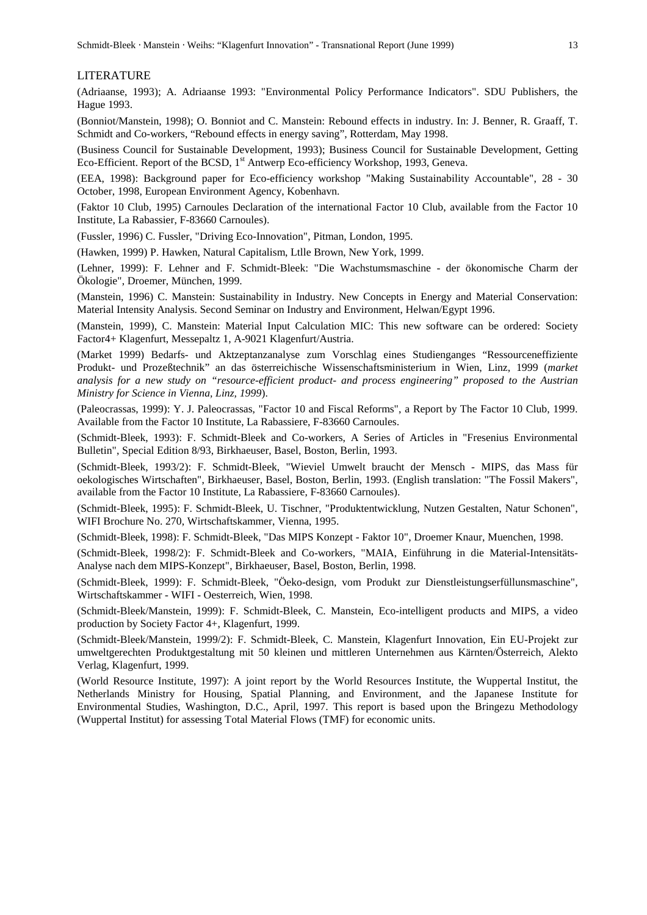#### LITERATURE

(Adriaanse, 1993); A. Adriaanse 1993: "Environmental Policy Performance Indicators". SDU Publishers, the Hague 1993.

(Bonniot/Manstein, 1998); O. Bonniot and C. Manstein: Rebound effects in industry. In: J. Benner, R. Graaff, T. Schmidt and Co-workers, "Rebound effects in energy saving", Rotterdam, May 1998.

(Business Council for Sustainable Development, 1993); Business Council for Sustainable Development, Getting Eco-Efficient. Report of the BCSD,  $1<sup>st</sup>$  Antwerp Eco-efficiency Workshop, 1993, Geneva.

(EEA, 1998): Background paper for Eco-efficiency workshop "Making Sustainability Accountable", 28 - 30 October, 1998, European Environment Agency, Kobenhavn.

(Faktor 10 Club, 1995) Carnoules Declaration of the international Factor 10 Club, available from the Factor 10 Institute, La Rabassier, F-83660 Carnoules).

(Fussler, 1996) C. Fussler, "Driving Eco-Innovation", Pitman, London, 1995.

(Hawken, 1999) P. Hawken, Natural Capitalism, Ltlle Brown, New York, 1999.

(Lehner, 1999): F. Lehner and F. Schmidt-Bleek: "Die Wachstumsmaschine - der ökonomische Charm der Ökologie", Droemer, München, 1999.

(Manstein, 1996) C. Manstein: Sustainability in Industry. New Concepts in Energy and Material Conservation: Material Intensity Analysis. Second Seminar on Industry and Environment, Helwan/Egypt 1996.

(Manstein, 1999), C. Manstein: Material Input Calculation MIC: This new software can be ordered: Society Factor4+ Klagenfurt, Messepaltz 1, A-9021 Klagenfurt/Austria.

(Market 1999) Bedarfs- und Aktzeptanzanalyse zum Vorschlag eines Studienganges "Ressourceneffiziente Produkt- und Prozeßtechnik" an das österreichische Wissenschaftsministerium in Wien, Linz, 1999 (*market analysis for a new study on "resource-efficient product- and process engineering" proposed to the Austrian Ministry for Science in Vienna, Linz, 1999*).

(Paleocrassas, 1999): Y. J. Paleocrassas, "Factor 10 and Fiscal Reforms", a Report by The Factor 10 Club, 1999. Available from the Factor 10 Institute, La Rabassiere, F-83660 Carnoules.

(Schmidt-Bleek, 1993): F. Schmidt-Bleek and Co-workers, A Series of Articles in "Fresenius Environmental Bulletin", Special Edition 8/93, Birkhaeuser, Basel, Boston, Berlin, 1993.

(Schmidt-Bleek, 1993/2): F. Schmidt-Bleek, "Wieviel Umwelt braucht der Mensch - MIPS, das Mass für oekologisches Wirtschaften", Birkhaeuser, Basel, Boston, Berlin, 1993. (English translation: "The Fossil Makers", available from the Factor 10 Institute, La Rabassiere, F-83660 Carnoules).

(Schmidt-Bleek, 1995): F. Schmidt-Bleek, U. Tischner, "Produktentwicklung, Nutzen Gestalten, Natur Schonen", WIFI Brochure No. 270, Wirtschaftskammer, Vienna, 1995.

(Schmidt-Bleek, 1998): F. Schmidt-Bleek, "Das MIPS Konzept - Faktor 10", Droemer Knaur, Muenchen, 1998.

(Schmidt-Bleek, 1998/2): F. Schmidt-Bleek and Co-workers, "MAIA, Einführung in die Material-Intensitäts-Analyse nach dem MIPS-Konzept", Birkhaeuser, Basel, Boston, Berlin, 1998.

(Schmidt-Bleek, 1999): F. Schmidt-Bleek, "Öeko-design, vom Produkt zur Dienstleistungserfüllunsmaschine", Wirtschaftskammer - WIFI - Oesterreich, Wien, 1998.

(Schmidt-Bleek/Manstein, 1999): F. Schmidt-Bleek, C. Manstein, Eco-intelligent products and MIPS, a video production by Society Factor 4+, Klagenfurt, 1999.

(Schmidt-Bleek/Manstein, 1999/2): F. Schmidt-Bleek, C. Manstein, Klagenfurt Innovation, Ein EU-Projekt zur umweltgerechten Produktgestaltung mit 50 kleinen und mittleren Unternehmen aus Kärnten/Österreich, Alekto Verlag, Klagenfurt, 1999.

(World Resource Institute, 1997): A joint report by the World Resources Institute, the Wuppertal Institut, the Netherlands Ministry for Housing, Spatial Planning, and Environment, and the Japanese Institute for Environmental Studies, Washington, D.C., April, 1997. This report is based upon the Bringezu Methodology (Wuppertal Institut) for assessing Total Material Flows (TMF) for economic units.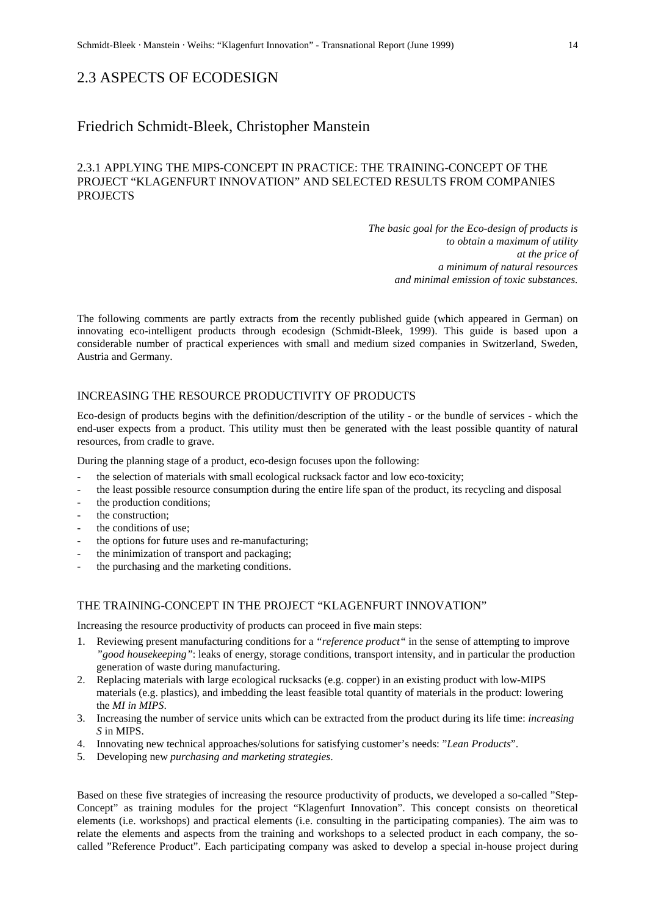# 2.3 ASPECTS OF ECODESIGN

# Friedrich Schmidt-Bleek, Christopher Manstein

# 2.3.1 APPLYING THE MIPS-CONCEPT IN PRACTICE: THE TRAINING-CONCEPT OF THE PROJECT "KLAGENFURT INNOVATION" AND SELECTED RESULTS FROM COMPANIES PROJECTS

*The basic goal for the Eco-design of products is to obtain a maximum of utility at the price of a minimum of natural resources and minimal emission of toxic substances.*

The following comments are partly extracts from the recently published guide (which appeared in German) on innovating eco-intelligent products through ecodesign (Schmidt-Bleek, 1999). This guide is based upon a considerable number of practical experiences with small and medium sized companies in Switzerland, Sweden, Austria and Germany.

## INCREASING THE RESOURCE PRODUCTIVITY OF PRODUCTS

Eco-design of products begins with the definition/description of the utility - or the bundle of services - which the end-user expects from a product. This utility must then be generated with the least possible quantity of natural resources, from cradle to grave.

During the planning stage of a product, eco-design focuses upon the following:

- the selection of materials with small ecological rucksack factor and low eco-toxicity;
- the least possible resource consumption during the entire life span of the product, its recycling and disposal
- the production conditions;
- the construction:
- the conditions of use:
- the options for future uses and re-manufacturing;
- the minimization of transport and packaging;
- the purchasing and the marketing conditions.

# THE TRAINING-CONCEPT IN THE PROJECT "KLAGENFURT INNOVATION"

Increasing the resource productivity of products can proceed in five main steps:

- 1. Reviewing present manufacturing conditions for a *"reference product"* in the sense of attempting to improve *"good housekeeping"*: leaks of energy, storage conditions, transport intensity, and in particular the production generation of waste during manufacturing.
- 2. Replacing materials with large ecological rucksacks (e.g. copper) in an existing product with low-MIPS materials (e.g. plastics), and imbedding the least feasible total quantity of materials in the product: lowering the *MI in MIPS*.
- 3. Increasing the number of service units which can be extracted from the product during its life time: *increasing S* in MIPS.
- 4. Innovating new technical approaches/solutions for satisfying customer's needs: "*Lean Products*".
- 5. Developing new *purchasing and marketing strategies*.

Based on these five strategies of increasing the resource productivity of products, we developed a so-called "Step-Concept" as training modules for the project "Klagenfurt Innovation". This concept consists on theoretical elements (i.e. workshops) and practical elements (i.e. consulting in the participating companies). The aim was to relate the elements and aspects from the training and workshops to a selected product in each company, the socalled "Reference Product". Each participating company was asked to develop a special in-house project during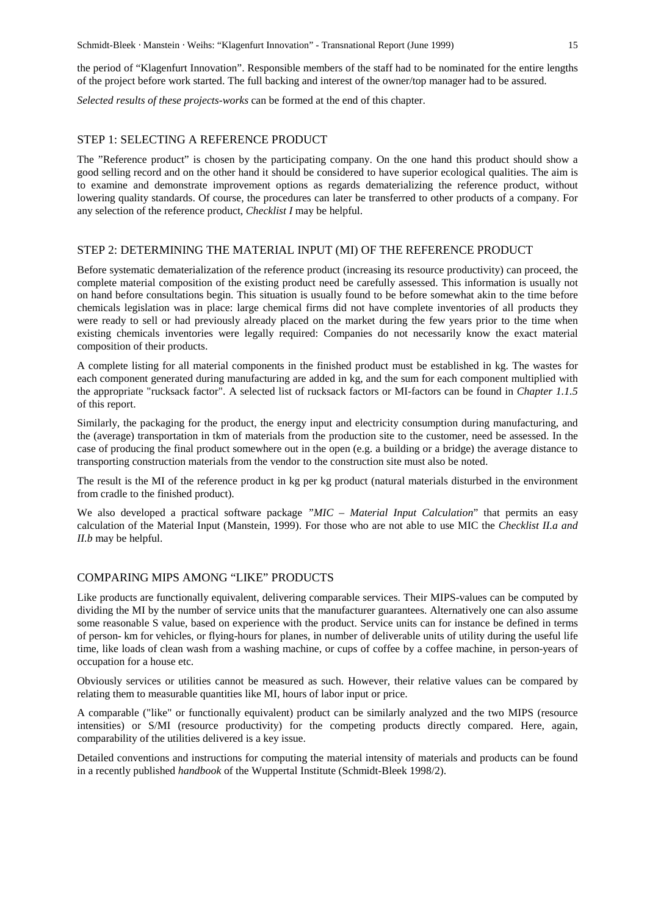the period of "Klagenfurt Innovation". Responsible members of the staff had to be nominated for the entire lengths of the project before work started. The full backing and interest of the owner/top manager had to be assured.

*Selected results of these projects-works* can be formed at the end of this chapter.

## STEP 1: SELECTING A REFERENCE PRODUCT

The "Reference product" is chosen by the participating company. On the one hand this product should show a good selling record and on the other hand it should be considered to have superior ecological qualities. The aim is to examine and demonstrate improvement options as regards dematerializing the reference product, without lowering quality standards. Of course, the procedures can later be transferred to other products of a company. For any selection of the reference product*, Checklist I* may be helpful.

#### STEP 2: DETERMINING THE MATERIAL INPUT (MI) OF THE REFERENCE PRODUCT

Before systematic dematerialization of the reference product (increasing its resource productivity) can proceed, the complete material composition of the existing product need be carefully assessed. This information is usually not on hand before consultations begin. This situation is usually found to be before somewhat akin to the time before chemicals legislation was in place: large chemical firms did not have complete inventories of all products they were ready to sell or had previously already placed on the market during the few years prior to the time when existing chemicals inventories were legally required: Companies do not necessarily know the exact material composition of their products.

A complete listing for all material components in the finished product must be established in kg. The wastes for each component generated during manufacturing are added in kg, and the sum for each component multiplied with the appropriate "rucksack factor". A selected list of rucksack factors or MI-factors can be found in *Chapter 1.1.5* of this report.

Similarly, the packaging for the product, the energy input and electricity consumption during manufacturing, and the (average) transportation in tkm of materials from the production site to the customer, need be assessed. In the case of producing the final product somewhere out in the open (e.g. a building or a bridge) the average distance to transporting construction materials from the vendor to the construction site must also be noted.

The result is the MI of the reference product in kg per kg product (natural materials disturbed in the environment from cradle to the finished product).

We also developed a practical software package *"MIC – Material Input Calculation*" that permits an easy calculation of the Material Input (Manstein, 1999). For those who are not able to use MIC the *Checklist II.a and II.b* may be helpful.

# COMPARING MIPS AMONG "LIKE" PRODUCTS

Like products are functionally equivalent, delivering comparable services. Their MIPS-values can be computed by dividing the MI by the number of service units that the manufacturer guarantees. Alternatively one can also assume some reasonable S value, based on experience with the product. Service units can for instance be defined in terms of person- km for vehicles, or flying-hours for planes, in number of deliverable units of utility during the useful life time, like loads of clean wash from a washing machine, or cups of coffee by a coffee machine, in person-years of occupation for a house etc.

Obviously services or utilities cannot be measured as such. However, their relative values can be compared by relating them to measurable quantities like MI, hours of labor input or price.

A comparable ("like" or functionally equivalent) product can be similarly analyzed and the two MIPS (resource intensities) or S/MI (resource productivity) for the competing products directly compared. Here, again, comparability of the utilities delivered is a key issue.

Detailed conventions and instructions for computing the material intensity of materials and products can be found in a recently published *handbook* of the Wuppertal Institute (Schmidt-Bleek 1998/2).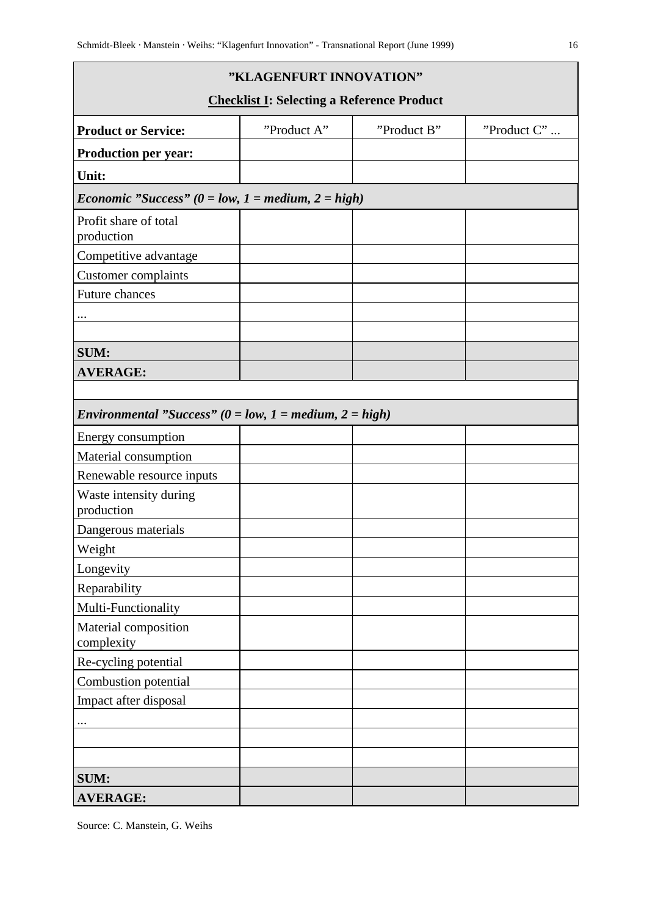| "KLAGENFURT INNOVATION"                                             |                                                   |             |             |  |  |  |  |  |  |
|---------------------------------------------------------------------|---------------------------------------------------|-------------|-------------|--|--|--|--|--|--|
|                                                                     | <b>Checklist I: Selecting a Reference Product</b> |             |             |  |  |  |  |  |  |
| <b>Product or Service:</b>                                          | "Product A"                                       | "Product B" | "Product C" |  |  |  |  |  |  |
| <b>Production per year:</b>                                         |                                                   |             |             |  |  |  |  |  |  |
| Unit:                                                               |                                                   |             |             |  |  |  |  |  |  |
| <i>Economic "Success"</i> ( $0 = low$ , $1 = medium$ , $2 = high$ ) |                                                   |             |             |  |  |  |  |  |  |
| Profit share of total<br>production                                 |                                                   |             |             |  |  |  |  |  |  |
| Competitive advantage                                               |                                                   |             |             |  |  |  |  |  |  |
| Customer complaints                                                 |                                                   |             |             |  |  |  |  |  |  |
| Future chances                                                      |                                                   |             |             |  |  |  |  |  |  |
|                                                                     |                                                   |             |             |  |  |  |  |  |  |
|                                                                     |                                                   |             |             |  |  |  |  |  |  |
| <b>SUM:</b>                                                         |                                                   |             |             |  |  |  |  |  |  |
| <b>AVERAGE:</b>                                                     |                                                   |             |             |  |  |  |  |  |  |
|                                                                     |                                                   |             |             |  |  |  |  |  |  |
| Environmental "Success" ( $0 = low$ , $1 = medium$ , $2 = high$ )   |                                                   |             |             |  |  |  |  |  |  |
| Energy consumption                                                  |                                                   |             |             |  |  |  |  |  |  |
| Material consumption                                                |                                                   |             |             |  |  |  |  |  |  |
| Renewable resource inputs                                           |                                                   |             |             |  |  |  |  |  |  |
| Waste intensity during<br>production                                |                                                   |             |             |  |  |  |  |  |  |
| Dangerous materials                                                 |                                                   |             |             |  |  |  |  |  |  |
| Weight                                                              |                                                   |             |             |  |  |  |  |  |  |
| Longevity                                                           |                                                   |             |             |  |  |  |  |  |  |
| Reparability                                                        |                                                   |             |             |  |  |  |  |  |  |
| Multi-Functionality                                                 |                                                   |             |             |  |  |  |  |  |  |
| Material composition<br>complexity                                  |                                                   |             |             |  |  |  |  |  |  |
| Re-cycling potential                                                |                                                   |             |             |  |  |  |  |  |  |
| Combustion potential                                                |                                                   |             |             |  |  |  |  |  |  |
| Impact after disposal                                               |                                                   |             |             |  |  |  |  |  |  |
|                                                                     |                                                   |             |             |  |  |  |  |  |  |
|                                                                     |                                                   |             |             |  |  |  |  |  |  |
|                                                                     |                                                   |             |             |  |  |  |  |  |  |
| <b>SUM:</b>                                                         |                                                   |             |             |  |  |  |  |  |  |
| <b>AVERAGE:</b>                                                     |                                                   |             |             |  |  |  |  |  |  |

Source: C. Manstein, G. Weihs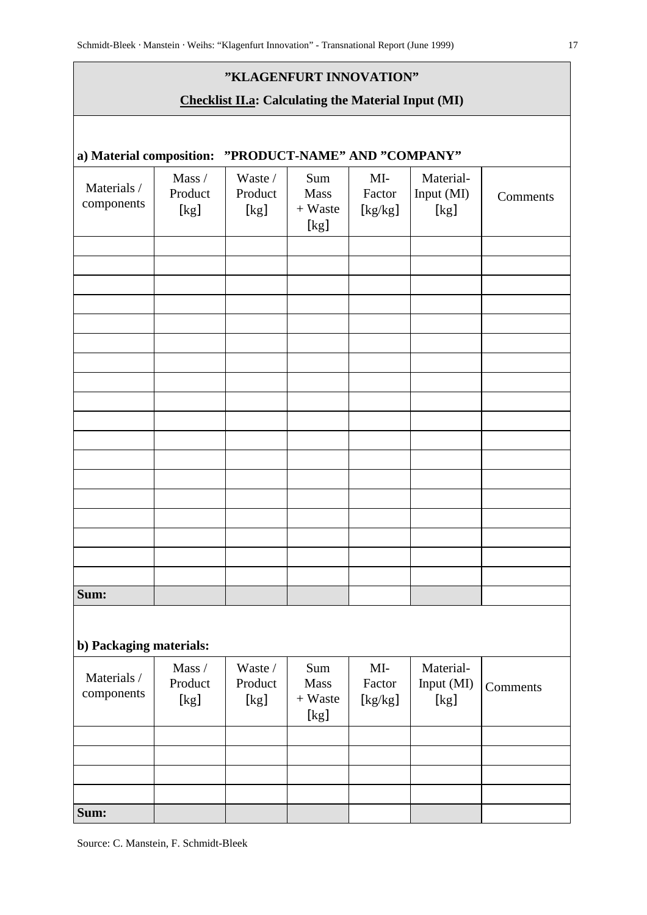# **"KLAGENFURT INNOVATION"**

# **Checklist II.a: Calculating the Material Input (MI)**

| Materials /<br>components | Mass /<br>Product<br>[kg] | Waste /<br>Product<br>[kg] | Sum<br>Mass<br>$+$ Waste<br>[kg] | MI-<br>Factor                                                                                                                                                                                                                                                                                                                      | Material-<br>Input (MI)<br>[kg] | Comments |
|---------------------------|---------------------------|----------------------------|----------------------------------|------------------------------------------------------------------------------------------------------------------------------------------------------------------------------------------------------------------------------------------------------------------------------------------------------------------------------------|---------------------------------|----------|
|                           |                           |                            |                                  |                                                                                                                                                                                                                                                                                                                                    |                                 |          |
|                           |                           |                            |                                  |                                                                                                                                                                                                                                                                                                                                    |                                 |          |
|                           |                           |                            |                                  |                                                                                                                                                                                                                                                                                                                                    |                                 |          |
|                           |                           |                            |                                  |                                                                                                                                                                                                                                                                                                                                    |                                 |          |
|                           |                           |                            |                                  |                                                                                                                                                                                                                                                                                                                                    |                                 |          |
|                           |                           |                            |                                  |                                                                                                                                                                                                                                                                                                                                    |                                 |          |
|                           |                           |                            |                                  |                                                                                                                                                                                                                                                                                                                                    |                                 |          |
|                           |                           |                            |                                  |                                                                                                                                                                                                                                                                                                                                    |                                 |          |
|                           |                           |                            |                                  |                                                                                                                                                                                                                                                                                                                                    |                                 |          |
|                           |                           |                            |                                  |                                                                                                                                                                                                                                                                                                                                    |                                 |          |
|                           |                           |                            |                                  |                                                                                                                                                                                                                                                                                                                                    |                                 |          |
|                           |                           |                            |                                  |                                                                                                                                                                                                                                                                                                                                    |                                 |          |
|                           |                           |                            |                                  |                                                                                                                                                                                                                                                                                                                                    |                                 |          |
|                           |                           |                            |                                  |                                                                                                                                                                                                                                                                                                                                    |                                 |          |
|                           |                           |                            |                                  |                                                                                                                                                                                                                                                                                                                                    |                                 |          |
|                           |                           |                            |                                  |                                                                                                                                                                                                                                                                                                                                    |                                 |          |
|                           |                           |                            |                                  |                                                                                                                                                                                                                                                                                                                                    |                                 |          |
|                           |                           |                            |                                  |                                                                                                                                                                                                                                                                                                                                    |                                 |          |
| Sum:                      |                           |                            |                                  |                                                                                                                                                                                                                                                                                                                                    |                                 |          |
| b) Packaging materials:   |                           |                            |                                  |                                                                                                                                                                                                                                                                                                                                    |                                 |          |
| Materials /               | Mass /                    | Waste /                    | Sum                              | $MI-$                                                                                                                                                                                                                                                                                                                              | Material-                       |          |
| components                | Product                   | Product                    | <b>Mass</b>                      | Factor                                                                                                                                                                                                                                                                                                                             | Input (MI)                      | Comments |
|                           | [kg]                      | [kg]                       | $+$ Waste<br>[kg]                | $[kg/kg] % \begin{center} \includegraphics[width=\textwidth]{figures/cdf} \end{center} % \vspace*{-1em} \caption{The average frequency of the number of times, and the average frequency of the number of times. The average frequency of the number of times, and the average frequency of the number of times.} \label{fig:cdf}$ | [kg]                            |          |
|                           |                           |                            |                                  |                                                                                                                                                                                                                                                                                                                                    |                                 |          |
|                           |                           |                            |                                  |                                                                                                                                                                                                                                                                                                                                    |                                 |          |
|                           |                           |                            |                                  |                                                                                                                                                                                                                                                                                                                                    |                                 |          |
|                           |                           |                            |                                  |                                                                                                                                                                                                                                                                                                                                    |                                 |          |
| Sum:                      |                           |                            |                                  |                                                                                                                                                                                                                                                                                                                                    |                                 |          |

Source: C. Manstein, F. Schmidt-Bleek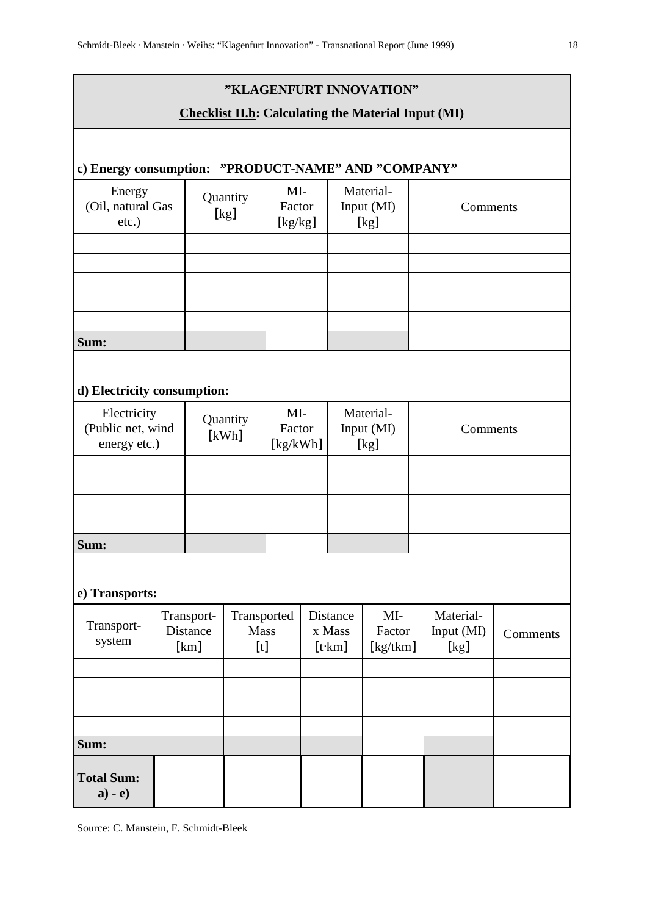# **"KLAGENFURT INNOVATION"**

# **Checklist II.b: Calculating the Material Input (MI)**

# **c) Energy consumption: "PRODUCT-NAME" AND "COMPANY"**

| Energy<br>(Oil, natural Gas<br>$etc.$ ) | Quantity<br>[kg] | MI-<br>Factor<br>[kg/kg] | Material-<br>Input (MI)<br>[kg] | Comments |
|-----------------------------------------|------------------|--------------------------|---------------------------------|----------|
|                                         |                  |                          |                                 |          |
|                                         |                  |                          |                                 |          |
|                                         |                  |                          |                                 |          |
|                                         |                  |                          |                                 |          |
|                                         |                  |                          |                                 |          |
| Sum:                                    |                  |                          |                                 |          |

# **d) Electricity consumption:**

| Electricity<br>(Public net, wind<br>energy etc.) | Quantity<br>[kWh] | MI-<br>Factor<br>[kg/kWh] | Material-<br>Input (MI)<br>[kg] | Comments |
|--------------------------------------------------|-------------------|---------------------------|---------------------------------|----------|
|                                                  |                   |                           |                                 |          |
|                                                  |                   |                           |                                 |          |
|                                                  |                   |                           |                                 |          |
|                                                  |                   |                           |                                 |          |
| Sum:                                             |                   |                           |                                 |          |

# **e) Transports:**

| Transport-<br>system               | Transport-<br>Distance<br>[km] | Transported<br><b>Mass</b><br>$[t]$ | Distance<br>x Mass<br>[t·km] | $MI-$<br>Factor<br>[kg/tkm] | Material-<br>Input (MI)<br>[kg] | Comments |
|------------------------------------|--------------------------------|-------------------------------------|------------------------------|-----------------------------|---------------------------------|----------|
|                                    |                                |                                     |                              |                             |                                 |          |
|                                    |                                |                                     |                              |                             |                                 |          |
|                                    |                                |                                     |                              |                             |                                 |          |
|                                    |                                |                                     |                              |                             |                                 |          |
| Sum:                               |                                |                                     |                              |                             |                                 |          |
| <b>Total Sum:</b><br>$\bf{a) - e}$ |                                |                                     |                              |                             |                                 |          |

Source: C. Manstein, F. Schmidt-Bleek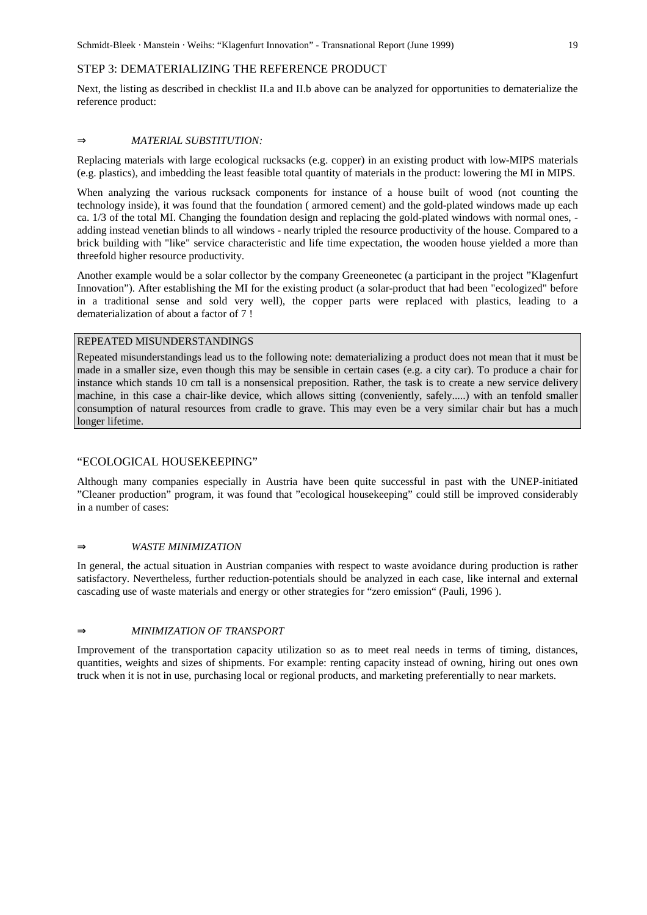### STEP 3: DEMATERIALIZING THE REFERENCE PRODUCT

Next, the listing as described in checklist II.a and II.b above can be analyzed for opportunities to dematerialize the reference product:

#### ⇒ *MATERIAL SUBSTITUTION:*

Replacing materials with large ecological rucksacks (e.g. copper) in an existing product with low-MIPS materials (e.g. plastics), and imbedding the least feasible total quantity of materials in the product: lowering the MI in MIPS.

When analyzing the various rucksack components for instance of a house built of wood (not counting the technology inside), it was found that the foundation ( armored cement) and the gold-plated windows made up each ca. 1/3 of the total MI. Changing the foundation design and replacing the gold-plated windows with normal ones, adding instead venetian blinds to all windows - nearly tripled the resource productivity of the house. Compared to a brick building with "like" service characteristic and life time expectation, the wooden house yielded a more than threefold higher resource productivity.

Another example would be a solar collector by the company Greeneonetec (a participant in the project "Klagenfurt Innovation"). After establishing the MI for the existing product (a solar-product that had been "ecologized" before in a traditional sense and sold very well), the copper parts were replaced with plastics, leading to a dematerialization of about a factor of 7 !

# REPEATED MISUNDERSTANDINGS

Repeated misunderstandings lead us to the following note: dematerializing a product does not mean that it must be made in a smaller size, even though this may be sensible in certain cases (e.g. a city car). To produce a chair for instance which stands 10 cm tall is a nonsensical preposition. Rather, the task is to create a new service delivery machine, in this case a chair-like device, which allows sitting (conveniently, safely.....) with an tenfold smaller consumption of natural resources from cradle to grave. This may even be a very similar chair but has a much longer lifetime.

#### "ECOLOGICAL HOUSEKEEPING"

Although many companies especially in Austria have been quite successful in past with the UNEP-initiated "Cleaner production" program, it was found that "ecological housekeeping" could still be improved considerably in a number of cases:

### ⇒ *WASTE MINIMIZATION*

In general, the actual situation in Austrian companies with respect to waste avoidance during production is rather satisfactory. Nevertheless, further reduction-potentials should be analyzed in each case, like internal and external cascading use of waste materials and energy or other strategies for "zero emission" (Pauli, 1996 ).

#### ⇒ *MINIMIZATION OF TRANSPORT*

Improvement of the transportation capacity utilization so as to meet real needs in terms of timing, distances, quantities, weights and sizes of shipments. For example: renting capacity instead of owning, hiring out ones own truck when it is not in use, purchasing local or regional products, and marketing preferentially to near markets.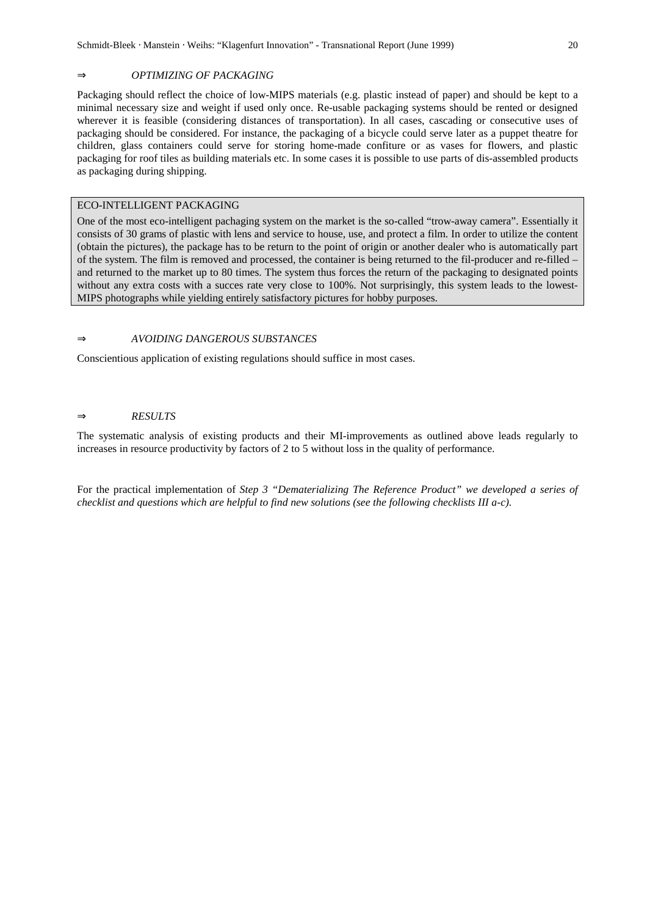#### ⇒ *OPTIMIZING OF PACKAGING*

Packaging should reflect the choice of low-MIPS materials (e.g. plastic instead of paper) and should be kept to a minimal necessary size and weight if used only once. Re-usable packaging systems should be rented or designed wherever it is feasible (considering distances of transportation). In all cases, cascading or consecutive uses of packaging should be considered. For instance, the packaging of a bicycle could serve later as a puppet theatre for children, glass containers could serve for storing home-made confiture or as vases for flowers, and plastic packaging for roof tiles as building materials etc. In some cases it is possible to use parts of dis-assembled products as packaging during shipping.

### ECO-INTELLIGENT PACKAGING

One of the most eco-intelligent pachaging system on the market is the so-called "trow-away camera". Essentially it consists of 30 grams of plastic with lens and service to house, use, and protect a film. In order to utilize the content (obtain the pictures), the package has to be return to the point of origin or another dealer who is automatically part of the system. The film is removed and processed, the container is being returned to the fil-producer and re-filled – and returned to the market up to 80 times. The system thus forces the return of the packaging to designated points without any extra costs with a succes rate very close to 100%. Not surprisingly, this system leads to the lowest-MIPS photographs while yielding entirely satisfactory pictures for hobby purposes.

# ⇒ *AVOIDING DANGEROUS SUBSTANCES*

Conscientious application of existing regulations should suffice in most cases.

#### ⇒ *RESULTS*

The systematic analysis of existing products and their MI-improvements as outlined above leads regularly to increases in resource productivity by factors of 2 to 5 without loss in the quality of performance.

For the practical implementation of *Step 3 "Dematerializing The Reference Product" we developed a series of checklist and questions which are helpful to find new solutions (see the following checklists III a-c).*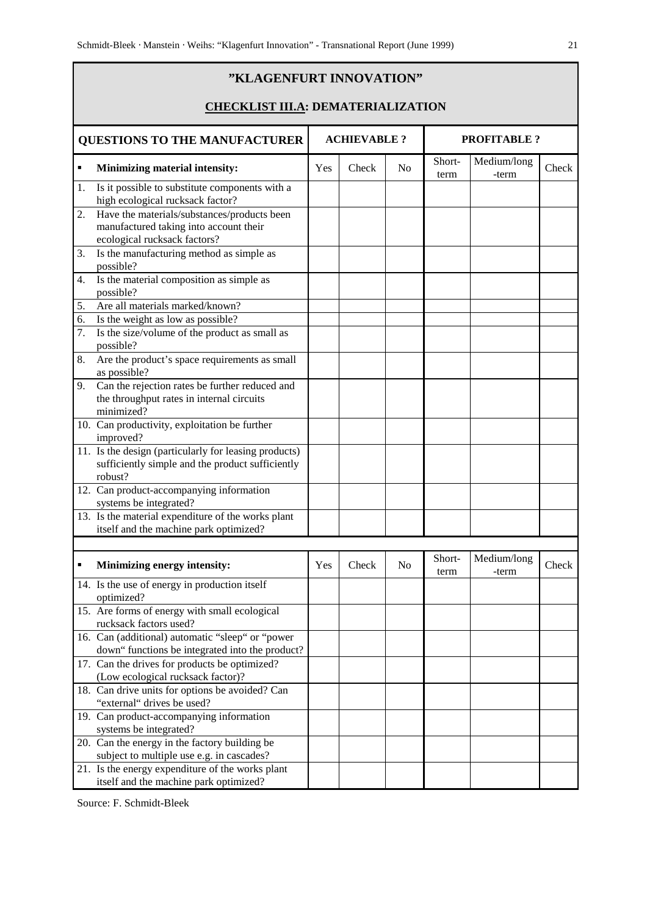# **"KLAGENFURT INNOVATION" CHECKLIST III.A: DEMATERIALIZATION QUESTIONS TO THE MANUFACTURER ACHIEVABLE ? PROFITABLE ? Minimizing material intensity:** Yes Check No Shortterm Medium/long  $-\text{term}$  Check 1. Is it possible to substitute components with a high ecological rucksack factor? 2. Have the materials/substances/products been manufactured taking into account their ecological rucksack factors? 3. Is the manufacturing method as simple as possible? 4. Is the material composition as simple as possible? 5. Are all materials marked/known? 6. Is the weight as low as possible? 7. Is the size/volume of the product as small as possible? 8. Are the product's space requirements as small as possible? 9. Can the rejection rates be further reduced and the throughput rates in internal circuits minimized? 10. Can productivity, exploitation be further improved? 11. Is the design (particularly for leasing products) sufficiently simple and the product sufficiently robust? 12. Can product-accompanying information systems be integrated? 13. Is the material expenditure of the works plant itself and the machine park optimized? **Minimizing energy intensity:** Yes Check No Shortterm Medium/long  $\left| \begin{array}{c} \text{thech} \\ \text{thech} \end{array} \right|$ 14. Is the use of energy in production itself optimized? 15. Are forms of energy with small ecological rucksack factors used? 16. Can (additional) automatic "sleep" or "power down" functions be integrated into the product? 17. Can the drives for products be optimized? (Low ecological rucksack factor)? 18. Can drive units for options be avoided? Can "external" drives be used? 19. Can product-accompanying information systems be integrated? 20. Can the energy in the factory building be subject to multiple use e.g. in cascades? 21. Is the energy expenditure of the works plant itself and the machine park optimized?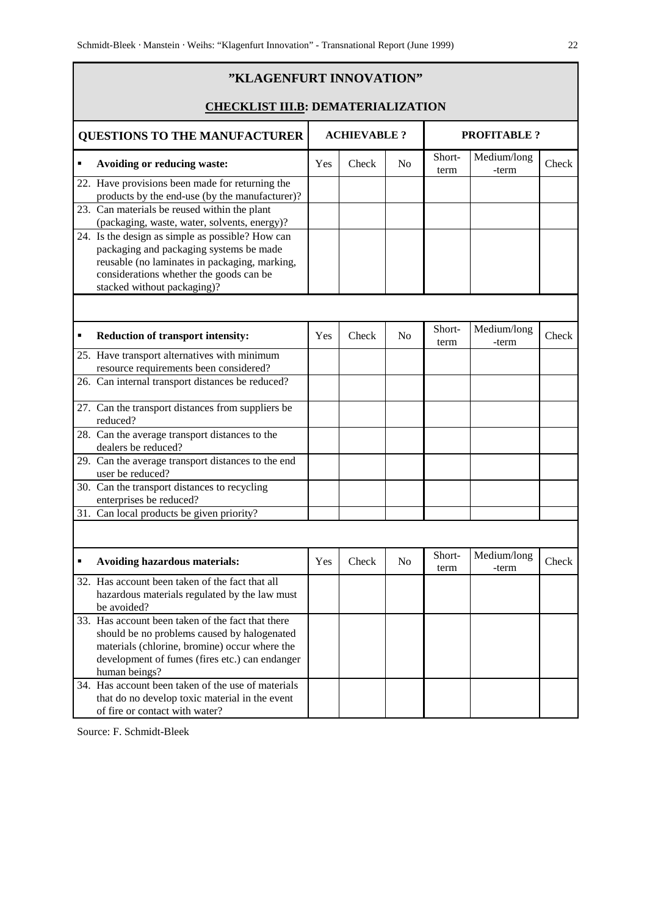|   | "KLAGENFURT INNOVATION"<br><b>CHECKLIST III.B: DEMATERIALIZATION</b>                                                                                                                                                   |     |       |                |                |                      |       |
|---|------------------------------------------------------------------------------------------------------------------------------------------------------------------------------------------------------------------------|-----|-------|----------------|----------------|----------------------|-------|
|   | <b>QUESTIONS TO THE MANUFACTURER</b><br><b>ACHIEVABLE?</b><br><b>PROFITABLE?</b>                                                                                                                                       |     |       |                |                |                      |       |
| ٠ | Avoiding or reducing waste:                                                                                                                                                                                            | Yes | Check | N <sub>0</sub> | Short-<br>term | Medium/long<br>-term | Check |
|   | 22. Have provisions been made for returning the<br>products by the end-use (by the manufacturer)?<br>23. Can materials be reused within the plant<br>(packaging, waste, water, solvents, energy)?                      |     |       |                |                |                      |       |
|   | 24. Is the design as simple as possible? How can<br>packaging and packaging systems be made<br>reusable (no laminates in packaging, marking,<br>considerations whether the goods can be<br>stacked without packaging)? |     |       |                |                |                      |       |
|   |                                                                                                                                                                                                                        |     |       |                | Short-         | Medium/long          |       |
|   | <b>Reduction of transport intensity:</b>                                                                                                                                                                               | Yes | Check | N <sub>0</sub> | term           | -term                | Check |
|   | 25. Have transport alternatives with minimum<br>resource requirements been considered?                                                                                                                                 |     |       |                |                |                      |       |
|   | 26. Can internal transport distances be reduced?                                                                                                                                                                       |     |       |                |                |                      |       |
|   | 27. Can the transport distances from suppliers be<br>reduced?                                                                                                                                                          |     |       |                |                |                      |       |
|   | 28. Can the average transport distances to the<br>dealers be reduced?                                                                                                                                                  |     |       |                |                |                      |       |
|   | 29. Can the average transport distances to the end<br>user be reduced?                                                                                                                                                 |     |       |                |                |                      |       |
|   | 30. Can the transport distances to recycling<br>enterprises be reduced?                                                                                                                                                |     |       |                |                |                      |       |
|   | 31. Can local products be given priority?                                                                                                                                                                              |     |       |                |                |                      |       |
|   |                                                                                                                                                                                                                        |     |       |                |                |                      |       |
| ٠ | <b>Avoiding hazardous materials:</b>                                                                                                                                                                                   | Yes | Check | No             | Short-<br>term | Medium/long<br>-term | Check |
|   | 32. Has account been taken of the fact that all<br>hazardous materials regulated by the law must<br>be avoided?                                                                                                        |     |       |                |                |                      |       |
|   | 33. Has account been taken of the fact that there<br>should be no problems caused by halogenated<br>materials (chlorine, bromine) occur where the<br>development of fumes (fires etc.) can endanger<br>human beings?   |     |       |                |                |                      |       |
|   | 34. Has account been taken of the use of materials<br>that do no develop toxic material in the event<br>of fire or contact with water?                                                                                 |     |       |                |                |                      |       |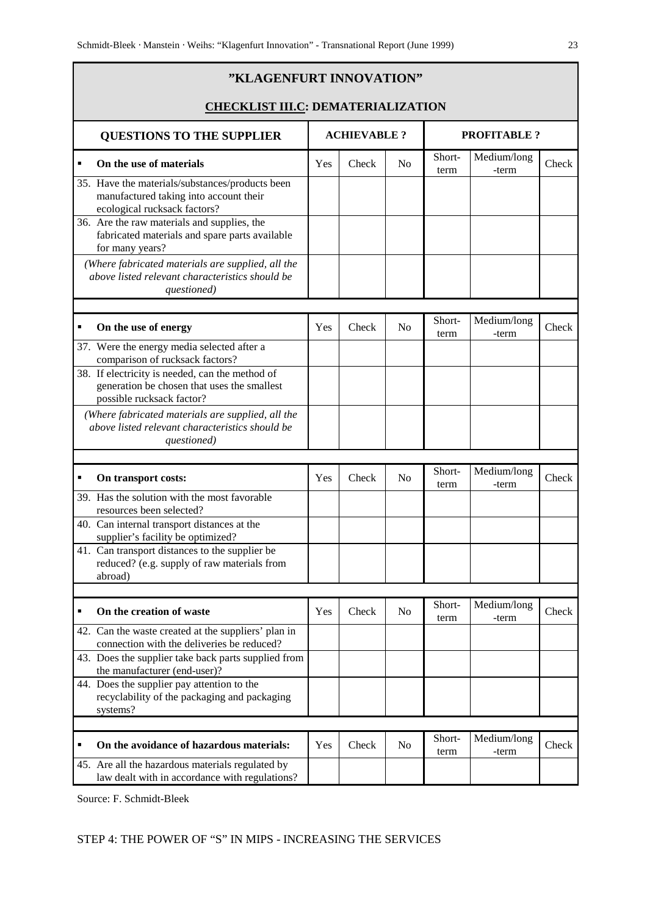|   | "KLAGENFURT INNOVATION"                                                                                                                                                  |                     |       |                |                    |                      |       |
|---|--------------------------------------------------------------------------------------------------------------------------------------------------------------------------|---------------------|-------|----------------|--------------------|----------------------|-------|
|   | <b>CHECKLIST III.C: DEMATERIALIZATION</b>                                                                                                                                |                     |       |                |                    |                      |       |
|   | <b>QUESTIONS TO THE SUPPLIER</b>                                                                                                                                         | <b>ACHIEVABLE ?</b> |       |                | <b>PROFITABLE?</b> |                      |       |
|   | On the use of materials                                                                                                                                                  | Yes                 | Check | No             | Short-<br>term     | Medium/long<br>-term | Check |
|   | 35. Have the materials/substances/products been<br>manufactured taking into account their<br>ecological rucksack factors?<br>36. Are the raw materials and supplies, the |                     |       |                |                    |                      |       |
|   | fabricated materials and spare parts available<br>for many years?                                                                                                        |                     |       |                |                    |                      |       |
|   | (Where fabricated materials are supplied, all the<br>above listed relevant characteristics should be<br>questioned)                                                      |                     |       |                |                    |                      |       |
|   |                                                                                                                                                                          |                     |       |                |                    |                      |       |
| п | On the use of energy                                                                                                                                                     | Yes                 | Check | N <sub>o</sub> | Short-<br>term     | Medium/long<br>-term | Check |
|   | 37. Were the energy media selected after a<br>comparison of rucksack factors?                                                                                            |                     |       |                |                    |                      |       |
|   | 38. If electricity is needed, can the method of<br>generation be chosen that uses the smallest<br>possible rucksack factor?                                              |                     |       |                |                    |                      |       |
|   | (Where fabricated materials are supplied, all the<br>above listed relevant characteristics should be<br>questioned)                                                      |                     |       |                |                    |                      |       |
|   |                                                                                                                                                                          |                     |       |                |                    |                      |       |
| ٠ | On transport costs:                                                                                                                                                      | Yes                 | Check | N <sub>o</sub> | Short-<br>term     | Medium/long<br>-term | Check |
|   | 39. Has the solution with the most favorable<br>resources been selected?                                                                                                 |                     |       |                |                    |                      |       |
|   | 40. Can internal transport distances at the<br>supplier's facility be optimized?                                                                                         |                     |       |                |                    |                      |       |
|   | 41. Can transport distances to the supplier be<br>reduced? (e.g. supply of raw materials from<br>abroad)                                                                 |                     |       |                |                    |                      |       |
|   |                                                                                                                                                                          |                     |       |                |                    |                      |       |
| ٠ | On the creation of waste                                                                                                                                                 | Yes                 | Check | N <sub>o</sub> | Short-<br>term     | Medium/long<br>-term | Check |
|   | 42. Can the waste created at the suppliers' plan in<br>connection with the deliveries be reduced?                                                                        |                     |       |                |                    |                      |       |
|   | 43. Does the supplier take back parts supplied from<br>the manufacturer (end-user)?                                                                                      |                     |       |                |                    |                      |       |
|   | 44. Does the supplier pay attention to the<br>recyclability of the packaging and packaging<br>systems?                                                                   |                     |       |                |                    |                      |       |
|   |                                                                                                                                                                          |                     |       |                |                    |                      |       |
| ٠ | On the avoidance of hazardous materials:                                                                                                                                 | Yes                 | Check | No             | Short-<br>term     | Medium/long<br>-term | Check |
|   | 45. Are all the hazardous materials regulated by<br>law dealt with in accordance with regulations?                                                                       |                     |       |                |                    |                      |       |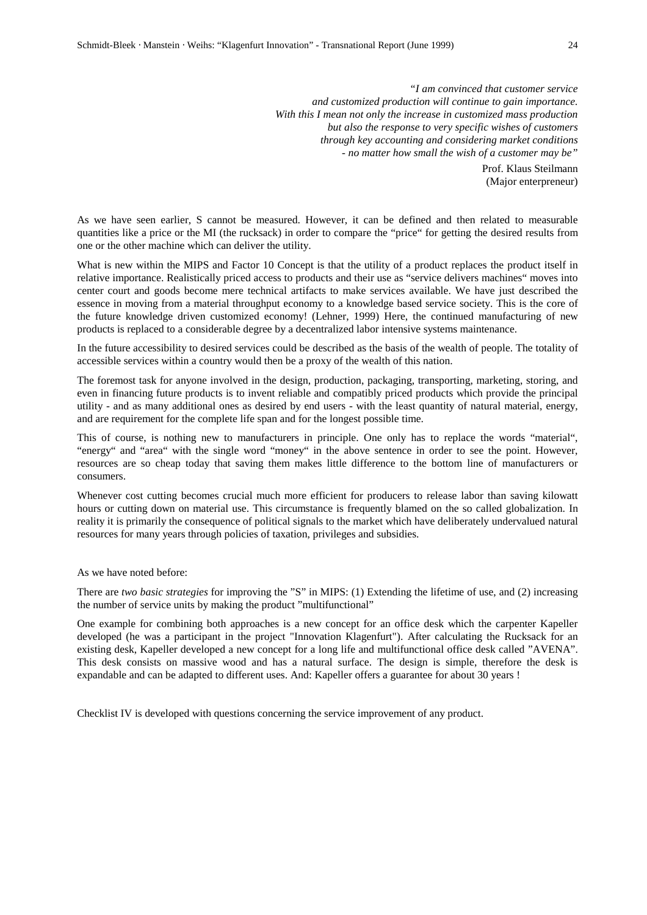Prof. Klaus Steilmann (Major enterpreneur)

As we have seen earlier, S cannot be measured. However, it can be defined and then related to measurable quantities like a price or the MI (the rucksack) in order to compare the "price" for getting the desired results from one or the other machine which can deliver the utility.

What is new within the MIPS and Factor 10 Concept is that the utility of a product replaces the product itself in relative importance. Realistically priced access to products and their use as "service delivers machines" moves into center court and goods become mere technical artifacts to make services available. We have just described the essence in moving from a material throughput economy to a knowledge based service society. This is the core of the future knowledge driven customized economy! (Lehner, 1999) Here, the continued manufacturing of new products is replaced to a considerable degree by a decentralized labor intensive systems maintenance.

In the future accessibility to desired services could be described as the basis of the wealth of people. The totality of accessible services within a country would then be a proxy of the wealth of this nation.

The foremost task for anyone involved in the design, production, packaging, transporting, marketing, storing, and even in financing future products is to invent reliable and compatibly priced products which provide the principal utility - and as many additional ones as desired by end users - with the least quantity of natural material, energy, and are requirement for the complete life span and for the longest possible time.

This of course, is nothing new to manufacturers in principle. One only has to replace the words "material", "energy" and "area" with the single word "money" in the above sentence in order to see the point. However, resources are so cheap today that saving them makes little difference to the bottom line of manufacturers or consumers.

Whenever cost cutting becomes crucial much more efficient for producers to release labor than saving kilowatt hours or cutting down on material use. This circumstance is frequently blamed on the so called globalization. In reality it is primarily the consequence of political signals to the market which have deliberately undervalued natural resources for many years through policies of taxation, privileges and subsidies.

As we have noted before:

There are *two basic strategies* for improving the "S" in MIPS: (1) Extending the lifetime of use, and (2) increasing the number of service units by making the product "multifunctional"

One example for combining both approaches is a new concept for an office desk which the carpenter Kapeller developed (he was a participant in the project "Innovation Klagenfurt"). After calculating the Rucksack for an existing desk, Kapeller developed a new concept for a long life and multifunctional office desk called "AVENA". This desk consists on massive wood and has a natural surface. The design is simple, therefore the desk is expandable and can be adapted to different uses. And: Kapeller offers a guarantee for about 30 years !

Checklist IV is developed with questions concerning the service improvement of any product.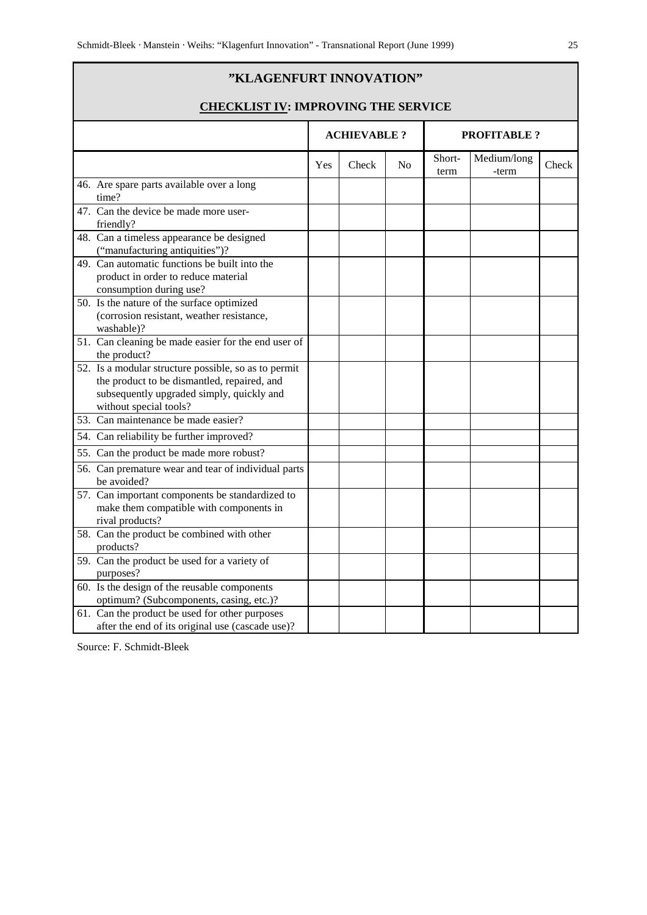# **"KLAGENFURT INNOVATION"**

# **CHECKLIST IV: IMPROVING THE SERVICE**

|           |                                                                                                                                                                            |     | <b>ACHIEVABLE?</b> |                | <b>PROFITABLE ?</b> |                      |       |
|-----------|----------------------------------------------------------------------------------------------------------------------------------------------------------------------------|-----|--------------------|----------------|---------------------|----------------------|-------|
|           |                                                                                                                                                                            | Yes | Check              | N <sub>0</sub> | Short-<br>term      | Medium/long<br>-term | Check |
| time?     | 46. Are spare parts available over a long                                                                                                                                  |     |                    |                |                     |                      |       |
| friendly? | 47. Can the device be made more user-                                                                                                                                      |     |                    |                |                     |                      |       |
|           | 48. Can a timeless appearance be designed<br>("manufacturing antiquities")?                                                                                                |     |                    |                |                     |                      |       |
|           | 49. Can automatic functions be built into the<br>product in order to reduce material<br>consumption during use?                                                            |     |                    |                |                     |                      |       |
|           | 50. Is the nature of the surface optimized<br>(corrosion resistant, weather resistance,<br>washable)?                                                                      |     |                    |                |                     |                      |       |
|           | 51. Can cleaning be made easier for the end user of<br>the product?                                                                                                        |     |                    |                |                     |                      |       |
|           | 52. Is a modular structure possible, so as to permit<br>the product to be dismantled, repaired, and<br>subsequently upgraded simply, quickly and<br>without special tools? |     |                    |                |                     |                      |       |
|           | 53. Can maintenance be made easier?                                                                                                                                        |     |                    |                |                     |                      |       |
|           | 54. Can reliability be further improved?                                                                                                                                   |     |                    |                |                     |                      |       |
|           | 55. Can the product be made more robust?                                                                                                                                   |     |                    |                |                     |                      |       |
|           | 56. Can premature wear and tear of individual parts<br>be avoided?                                                                                                         |     |                    |                |                     |                      |       |
|           | 57. Can important components be standardized to<br>make them compatible with components in<br>rival products?                                                              |     |                    |                |                     |                      |       |
| products? | 58. Can the product be combined with other                                                                                                                                 |     |                    |                |                     |                      |       |
| purposes? | 59. Can the product be used for a variety of                                                                                                                               |     |                    |                |                     |                      |       |
|           | 60. Is the design of the reusable components<br>optimum? (Subcomponents, casing, etc.)?                                                                                    |     |                    |                |                     |                      |       |
|           | 61. Can the product be used for other purposes<br>after the end of its original use (cascade use)?                                                                         |     |                    |                |                     |                      |       |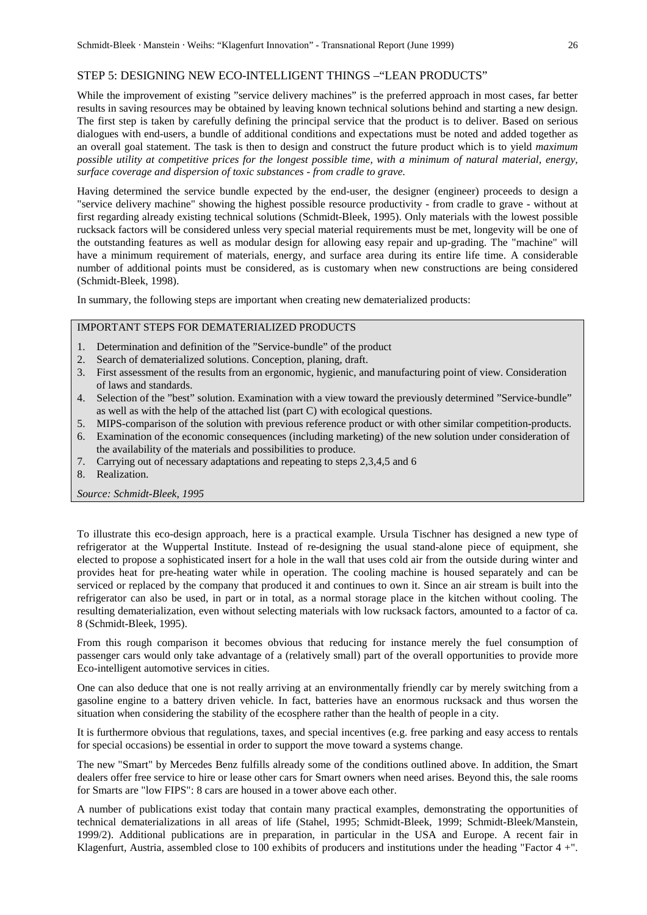#### STEP 5: DESIGNING NEW ECO-INTELLIGENT THINGS –"LEAN PRODUCTS"

While the improvement of existing "service delivery machines" is the preferred approach in most cases, far better results in saving resources may be obtained by leaving known technical solutions behind and starting a new design. The first step is taken by carefully defining the principal service that the product is to deliver. Based on serious dialogues with end-users, a bundle of additional conditions and expectations must be noted and added together as an overall goal statement. The task is then to design and construct the future product which is to yield *maximum possible utility at competitive prices for the longest possible time, with a minimum of natural material, energy, surface coverage and dispersion of toxic substances - from cradle to grave.*

Having determined the service bundle expected by the end-user, the designer (engineer) proceeds to design a "service delivery machine" showing the highest possible resource productivity - from cradle to grave - without at first regarding already existing technical solutions (Schmidt-Bleek, 1995). Only materials with the lowest possible rucksack factors will be considered unless very special material requirements must be met, longevity will be one of the outstanding features as well as modular design for allowing easy repair and up-grading. The "machine" will have a minimum requirement of materials, energy, and surface area during its entire life time. A considerable number of additional points must be considered, as is customary when new constructions are being considered (Schmidt-Bleek, 1998).

In summary, the following steps are important when creating new dematerialized products:

# IMPORTANT STEPS FOR DEMATERIALIZED PRODUCTS

- 1. Determination and definition of the "Service-bundle" of the product
- 2. Search of dematerialized solutions. Conception, planing, draft.
- 3. First assessment of the results from an ergonomic, hygienic, and manufacturing point of view. Consideration of laws and standards.
- 4. Selection of the "best" solution. Examination with a view toward the previously determined "Service-bundle" as well as with the help of the attached list (part C) with ecological questions.
- 5. MIPS-comparison of the solution with previous reference product or with other similar competition-products.
- 6. Examination of the economic consequences (including marketing) of the new solution under consideration of the availability of the materials and possibilities to produce.
- 7. Carrying out of necessary adaptations and repeating to steps 2,3,4,5 and 6
- 8. Realization.

*Source: Schmidt-Bleek, 1995*

To illustrate this eco-design approach, here is a practical example. Ursula Tischner has designed a new type of refrigerator at the Wuppertal Institute. Instead of re-designing the usual stand-alone piece of equipment, she elected to propose a sophisticated insert for a hole in the wall that uses cold air from the outside during winter and provides heat for pre-heating water while in operation. The cooling machine is housed separately and can be serviced or replaced by the company that produced it and continues to own it. Since an air stream is built into the refrigerator can also be used, in part or in total, as a normal storage place in the kitchen without cooling. The resulting dematerialization, even without selecting materials with low rucksack factors, amounted to a factor of ca. 8 (Schmidt-Bleek, 1995).

From this rough comparison it becomes obvious that reducing for instance merely the fuel consumption of passenger cars would only take advantage of a (relatively small) part of the overall opportunities to provide more Eco-intelligent automotive services in cities.

One can also deduce that one is not really arriving at an environmentally friendly car by merely switching from a gasoline engine to a battery driven vehicle. In fact, batteries have an enormous rucksack and thus worsen the situation when considering the stability of the ecosphere rather than the health of people in a city.

It is furthermore obvious that regulations, taxes, and special incentives (e.g. free parking and easy access to rentals for special occasions) be essential in order to support the move toward a systems change.

The new "Smart" by Mercedes Benz fulfills already some of the conditions outlined above. In addition, the Smart dealers offer free service to hire or lease other cars for Smart owners when need arises. Beyond this, the sale rooms for Smarts are "low FIPS": 8 cars are housed in a tower above each other.

A number of publications exist today that contain many practical examples, demonstrating the opportunities of technical dematerializations in all areas of life (Stahel, 1995; Schmidt-Bleek, 1999; Schmidt-Bleek/Manstein, 1999/2). Additional publications are in preparation, in particular in the USA and Europe. A recent fair in Klagenfurt, Austria, assembled close to 100 exhibits of producers and institutions under the heading "Factor 4 +".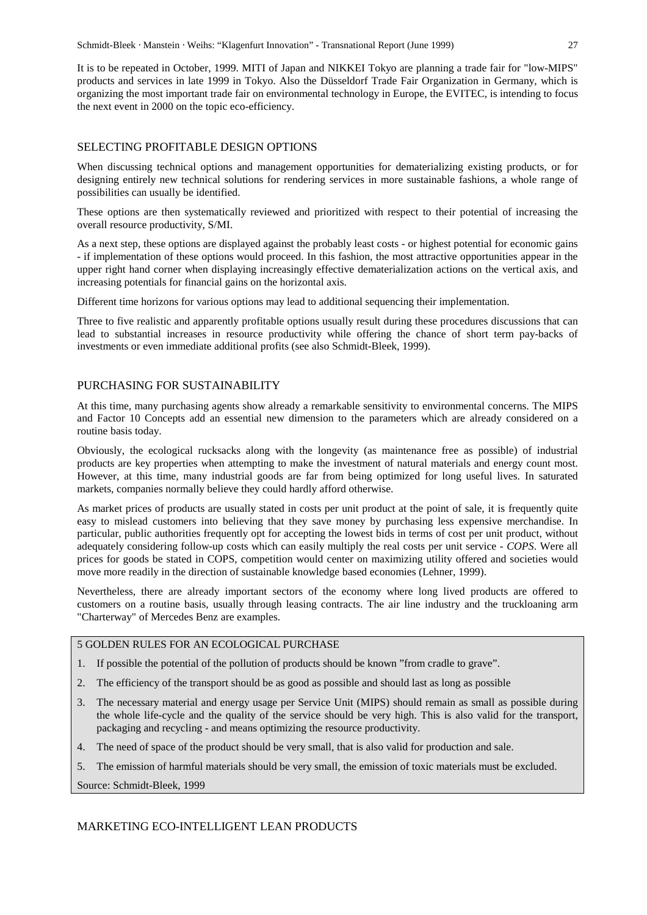It is to be repeated in October, 1999. MITI of Japan and NIKKEI Tokyo are planning a trade fair for "low-MIPS" products and services in late 1999 in Tokyo. Also the Düsseldorf Trade Fair Organization in Germany, which is organizing the most important trade fair on environmental technology in Europe, the EVITEC, is intending to focus the next event in 2000 on the topic eco-efficiency.

#### SELECTING PROFITABLE DESIGN OPTIONS

When discussing technical options and management opportunities for dematerializing existing products, or for designing entirely new technical solutions for rendering services in more sustainable fashions, a whole range of possibilities can usually be identified.

These options are then systematically reviewed and prioritized with respect to their potential of increasing the overall resource productivity, S/MI.

As a next step, these options are displayed against the probably least costs - or highest potential for economic gains - if implementation of these options would proceed. In this fashion, the most attractive opportunities appear in the upper right hand corner when displaying increasingly effective dematerialization actions on the vertical axis, and increasing potentials for financial gains on the horizontal axis.

Different time horizons for various options may lead to additional sequencing their implementation.

Three to five realistic and apparently profitable options usually result during these procedures discussions that can lead to substantial increases in resource productivity while offering the chance of short term pay-backs of investments or even immediate additional profits (see also Schmidt-Bleek, 1999).

# PURCHASING FOR SUSTAINABILITY

At this time, many purchasing agents show already a remarkable sensitivity to environmental concerns. The MIPS and Factor 10 Concepts add an essential new dimension to the parameters which are already considered on a routine basis today.

Obviously, the ecological rucksacks along with the longevity (as maintenance free as possible) of industrial products are key properties when attempting to make the investment of natural materials and energy count most. However, at this time, many industrial goods are far from being optimized for long useful lives. In saturated markets, companies normally believe they could hardly afford otherwise.

As market prices of products are usually stated in costs per unit product at the point of sale, it is frequently quite easy to mislead customers into believing that they save money by purchasing less expensive merchandise. In particular, public authorities frequently opt for accepting the lowest bids in terms of cost per unit product, without adequately considering follow-up costs which can easily multiply the real costs per unit service *- COPS*. Were all prices for goods be stated in COPS, competition would center on maximizing utility offered and societies would move more readily in the direction of sustainable knowledge based economies (Lehner, 1999).

Nevertheless, there are already important sectors of the economy where long lived products are offered to customers on a routine basis, usually through leasing contracts. The air line industry and the truckloaning arm "Charterway" of Mercedes Benz are examples.

# 5 GOLDEN RULES FOR AN ECOLOGICAL PURCHASE

- 1. If possible the potential of the pollution of products should be known "from cradle to grave".
- 2. The efficiency of the transport should be as good as possible and should last as long as possible
- 3. The necessary material and energy usage per Service Unit (MIPS) should remain as small as possible during the whole life-cycle and the quality of the service should be very high. This is also valid for the transport, packaging and recycling - and means optimizing the resource productivity.
- 4. The need of space of the product should be very small, that is also valid for production and sale.
- 5. The emission of harmful materials should be very small, the emission of toxic materials must be excluded.

Source: Schmidt-Bleek, 1999

# MARKETING ECO-INTELLIGENT LEAN PRODUCTS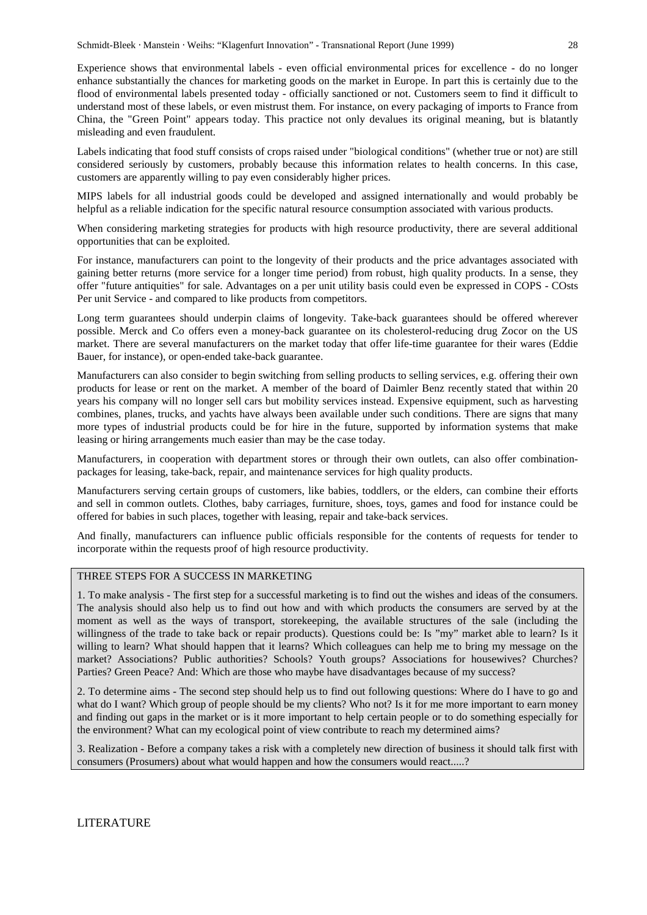Experience shows that environmental labels - even official environmental prices for excellence - do no longer enhance substantially the chances for marketing goods on the market in Europe. In part this is certainly due to the flood of environmental labels presented today - officially sanctioned or not. Customers seem to find it difficult to understand most of these labels, or even mistrust them. For instance, on every packaging of imports to France from China, the "Green Point" appears today. This practice not only devalues its original meaning, but is blatantly misleading and even fraudulent.

Labels indicating that food stuff consists of crops raised under "biological conditions" (whether true or not) are still considered seriously by customers, probably because this information relates to health concerns. In this case, customers are apparently willing to pay even considerably higher prices.

MIPS labels for all industrial goods could be developed and assigned internationally and would probably be helpful as a reliable indication for the specific natural resource consumption associated with various products.

When considering marketing strategies for products with high resource productivity, there are several additional opportunities that can be exploited.

For instance, manufacturers can point to the longevity of their products and the price advantages associated with gaining better returns (more service for a longer time period) from robust, high quality products. In a sense, they offer "future antiquities" for sale. Advantages on a per unit utility basis could even be expressed in COPS - COsts Per unit Service - and compared to like products from competitors.

Long term guarantees should underpin claims of longevity. Take-back guarantees should be offered wherever possible. Merck and Co offers even a money-back guarantee on its cholesterol-reducing drug Zocor on the US market. There are several manufacturers on the market today that offer life-time guarantee for their wares (Eddie Bauer, for instance), or open-ended take-back guarantee.

Manufacturers can also consider to begin switching from selling products to selling services, e.g. offering their own products for lease or rent on the market. A member of the board of Daimler Benz recently stated that within 20 years his company will no longer sell cars but mobility services instead. Expensive equipment, such as harvesting combines, planes, trucks, and yachts have always been available under such conditions. There are signs that many more types of industrial products could be for hire in the future, supported by information systems that make leasing or hiring arrangements much easier than may be the case today.

Manufacturers, in cooperation with department stores or through their own outlets, can also offer combinationpackages for leasing, take-back, repair, and maintenance services for high quality products.

Manufacturers serving certain groups of customers, like babies, toddlers, or the elders, can combine their efforts and sell in common outlets. Clothes, baby carriages, furniture, shoes, toys, games and food for instance could be offered for babies in such places, together with leasing, repair and take-back services.

And finally, manufacturers can influence public officials responsible for the contents of requests for tender to incorporate within the requests proof of high resource productivity.

#### THREE STEPS FOR A SUCCESS IN MARKETING

1. To make analysis - The first step for a successful marketing is to find out the wishes and ideas of the consumers. The analysis should also help us to find out how and with which products the consumers are served by at the moment as well as the ways of transport, storekeeping, the available structures of the sale (including the willingness of the trade to take back or repair products). Questions could be: Is "my" market able to learn? Is it willing to learn? What should happen that it learns? Which colleagues can help me to bring my message on the market? Associations? Public authorities? Schools? Youth groups? Associations for housewives? Churches? Parties? Green Peace? And: Which are those who maybe have disadvantages because of my success?

2. To determine aims - The second step should help us to find out following questions: Where do I have to go and what do I want? Which group of people should be my clients? Who not? Is it for me more important to earn money and finding out gaps in the market or is it more important to help certain people or to do something especially for the environment? What can my ecological point of view contribute to reach my determined aims?

3. Realization - Before a company takes a risk with a completely new direction of business it should talk first with consumers (Prosumers) about what would happen and how the consumers would react.....?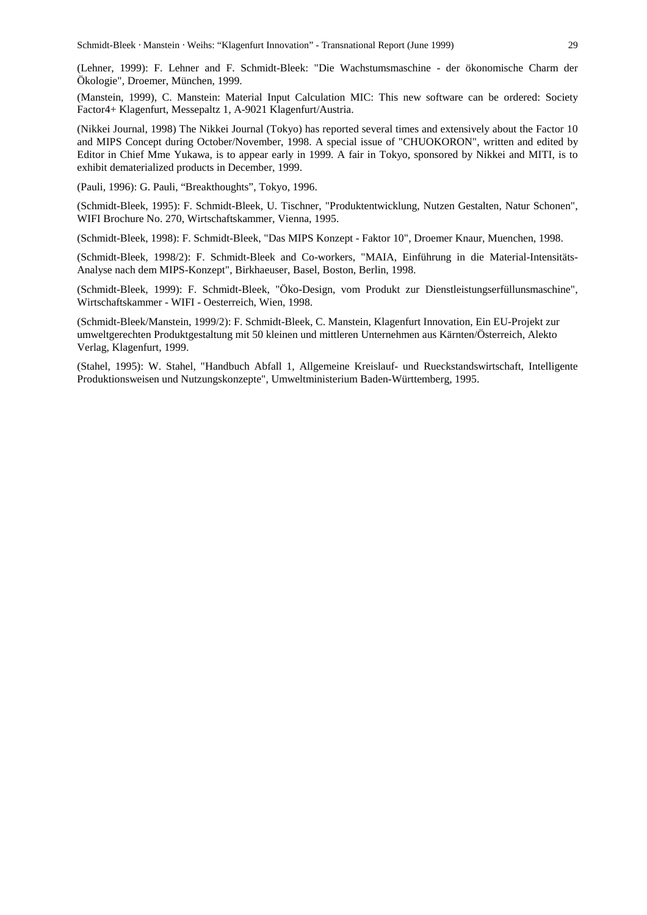(Lehner, 1999): F. Lehner and F. Schmidt-Bleek: "Die Wachstumsmaschine - der ökonomische Charm der Ökologie", Droemer, München, 1999.

(Manstein, 1999), C. Manstein: Material Input Calculation MIC: This new software can be ordered: Society Factor4+ Klagenfurt, Messepaltz 1, A-9021 Klagenfurt/Austria.

(Nikkei Journal, 1998) The Nikkei Journal (Tokyo) has reported several times and extensively about the Factor 10 and MIPS Concept during October/November, 1998. A special issue of "CHUOKORON", written and edited by Editor in Chief Mme Yukawa, is to appear early in 1999. A fair in Tokyo, sponsored by Nikkei and MITI, is to exhibit dematerialized products in December, 1999.

(Pauli, 1996): G. Pauli, "Breakthoughts", Tokyo, 1996.

(Schmidt-Bleek, 1995): F. Schmidt-Bleek, U. Tischner, "Produktentwicklung, Nutzen Gestalten, Natur Schonen", WIFI Brochure No. 270, Wirtschaftskammer, Vienna, 1995.

(Schmidt-Bleek, 1998): F. Schmidt-Bleek, "Das MIPS Konzept - Faktor 10", Droemer Knaur, Muenchen, 1998.

(Schmidt-Bleek, 1998/2): F. Schmidt-Bleek and Co-workers, "MAIA, Einführung in die Material-Intensitäts-Analyse nach dem MIPS-Konzept", Birkhaeuser, Basel, Boston, Berlin, 1998.

(Schmidt-Bleek, 1999): F. Schmidt-Bleek, "Öko-Design, vom Produkt zur Dienstleistungserfüllunsmaschine", Wirtschaftskammer - WIFI - Oesterreich, Wien, 1998.

(Schmidt-Bleek/Manstein, 1999/2): F. Schmidt-Bleek, C. Manstein, Klagenfurt Innovation, Ein EU-Projekt zur umweltgerechten Produktgestaltung mit 50 kleinen und mittleren Unternehmen aus Kärnten/Österreich, Alekto Verlag, Klagenfurt, 1999.

(Stahel, 1995): W. Stahel, "Handbuch Abfall 1, Allgemeine Kreislauf- und Rueckstandswirtschaft, Intelligente Produktionsweisen und Nutzungskonzepte", Umweltministerium Baden-Württemberg, 1995.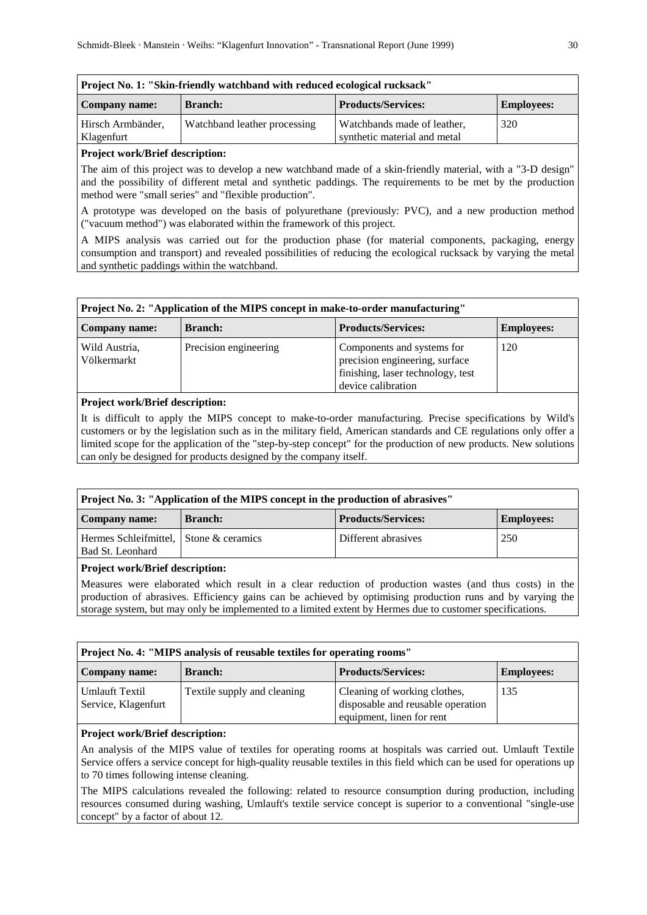| Project No. 1: "Skin-friendly watchband with reduced ecological rucksack" |                              |                                                             |                   |  |  |  |
|---------------------------------------------------------------------------|------------------------------|-------------------------------------------------------------|-------------------|--|--|--|
| Company name:                                                             | <b>Branch:</b>               | <b>Products/Services:</b>                                   | <b>Employees:</b> |  |  |  |
| Hirsch Armbänder,<br>Klagenfurt                                           | Watchband leather processing | Watchbands made of leather,<br>synthetic material and metal | 320               |  |  |  |

The aim of this project was to develop a new watchband made of a skin-friendly material, with a "3-D design" and the possibility of different metal and synthetic paddings. The requirements to be met by the production method were "small series" and "flexible production".

A prototype was developed on the basis of polyurethane (previously: PVC), and a new production method ("vacuum method") was elaborated within the framework of this project.

A MIPS analysis was carried out for the production phase (for material components, packaging, energy consumption and transport) and revealed possibilities of reducing the ecological rucksack by varying the metal and synthetic paddings within the watchband.

| Project No. 2: "Application of the MIPS concept in make-to-order manufacturing" |                       |                                                                                                                         |                   |  |  |  |
|---------------------------------------------------------------------------------|-----------------------|-------------------------------------------------------------------------------------------------------------------------|-------------------|--|--|--|
| Company name:                                                                   | <b>Branch:</b>        | <b>Products/Services:</b>                                                                                               | <b>Employees:</b> |  |  |  |
| Wild Austria.<br>Völkermarkt                                                    | Precision engineering | Components and systems for<br>precision engineering, surface<br>finishing, laser technology, test<br>device calibration | 120               |  |  |  |

#### **Project work/Brief description:**

It is difficult to apply the MIPS concept to make-to-order manufacturing. Precise specifications by Wild's customers or by the legislation such as in the military field, American standards and CE regulations only offer a limited scope for the application of the "step-by-step concept" for the production of new products. New solutions can only be designed for products designed by the company itself.

| Project No. 3: "Application of the MIPS concept in the production of abrasives" |                |                           |                   |  |  |  |
|---------------------------------------------------------------------------------|----------------|---------------------------|-------------------|--|--|--|
| Company name:                                                                   | <b>Branch:</b> | <b>Products/Services:</b> | <b>Employees:</b> |  |  |  |
| Hermes Schleifmittel, Stone & ceramics<br>Bad St. Leonhard                      |                | Different abrasives       | 250               |  |  |  |
|                                                                                 |                |                           |                   |  |  |  |

## **Project work/Brief description:**

Measures were elaborated which result in a clear reduction of production wastes (and thus costs) in the production of abrasives. Efficiency gains can be achieved by optimising production runs and by varying the storage system, but may only be implemented to a limited extent by Hermes due to customer specifications.

| Project No. 4: "MIPS analysis of reusable textiles for operating rooms" |                             |                                                                                                |                   |
|-------------------------------------------------------------------------|-----------------------------|------------------------------------------------------------------------------------------------|-------------------|
| Company name:                                                           | <b>Branch:</b>              | <b>Products/Services:</b>                                                                      | <b>Employees:</b> |
| <b>Umlauft Textil</b><br>Service, Klagenfurt                            | Textile supply and cleaning | Cleaning of working clothes,<br>disposable and reusable operation<br>equipment, linen for rent | 135               |

### **Project work/Brief description:**

An analysis of the MIPS value of textiles for operating rooms at hospitals was carried out. Umlauft Textile Service offers a service concept for high-quality reusable textiles in this field which can be used for operations up to 70 times following intense cleaning.

The MIPS calculations revealed the following: related to resource consumption during production, including resources consumed during washing, Umlauft's textile service concept is superior to a conventional "single-use concept" by a factor of about 12.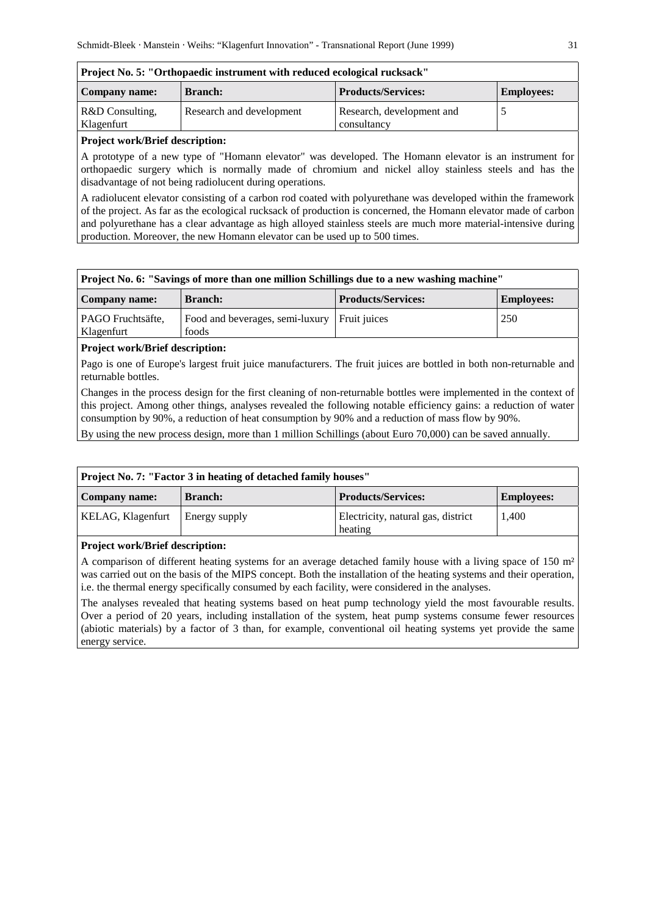| Company name:   | <b>Branch:</b>           | <b>Products/Services:</b> | <b>Employees:</b> |
|-----------------|--------------------------|---------------------------|-------------------|
| R&D Consulting. | Research and development | Research, development and |                   |
| Klagenfurt      |                          | consultancy               |                   |

A prototype of a new type of "Homann elevator" was developed. The Homann elevator is an instrument for orthopaedic surgery which is normally made of chromium and nickel alloy stainless steels and has the disadvantage of not being radiolucent during operations.

A radiolucent elevator consisting of a carbon rod coated with polyurethane was developed within the framework of the project. As far as the ecological rucksack of production is concerned, the Homann elevator made of carbon and polyurethane has a clear advantage as high alloyed stainless steels are much more material-intensive during production. Moreover, the new Homann elevator can be used up to 500 times.

| Project No. 6: "Savings of more than one million Schillings due to a new washing machine" |                                                       |                           |                   |  |
|-------------------------------------------------------------------------------------------|-------------------------------------------------------|---------------------------|-------------------|--|
| Company name:                                                                             | <b>Branch:</b>                                        | <b>Products/Services:</b> | <b>Employees:</b> |  |
| PAGO Fruchtsäfte,<br>Klagenfurt                                                           | Food and beverages, semi-luxury Fruit juices<br>foods |                           | 250               |  |

# **Project work/Brief description:**

Pago is one of Europe's largest fruit juice manufacturers. The fruit juices are bottled in both non-returnable and returnable bottles.

Changes in the process design for the first cleaning of non-returnable bottles were implemented in the context of this project. Among other things, analyses revealed the following notable efficiency gains: a reduction of water consumption by 90%, a reduction of heat consumption by 90% and a reduction of mass flow by 90%.

By using the new process design, more than 1 million Schillings (about Euro 70,000) can be saved annually.

| Company name:            | <b>Branch:</b> | <b>Products/Services:</b>                     | <b>Employees:</b> |
|--------------------------|----------------|-----------------------------------------------|-------------------|
| <b>KELAG, Klagenfurt</b> | Energy supply  | Electricity, natural gas, district<br>heating | 1.400             |

#### **Project work/Brief description:**

A comparison of different heating systems for an average detached family house with a living space of 150 m<sup>2</sup> was carried out on the basis of the MIPS concept. Both the installation of the heating systems and their operation, i.e. the thermal energy specifically consumed by each facility, were considered in the analyses.

The analyses revealed that heating systems based on heat pump technology yield the most favourable results. Over a period of 20 years, including installation of the system, heat pump systems consume fewer resources (abiotic materials) by a factor of 3 than, for example, conventional oil heating systems yet provide the same energy service.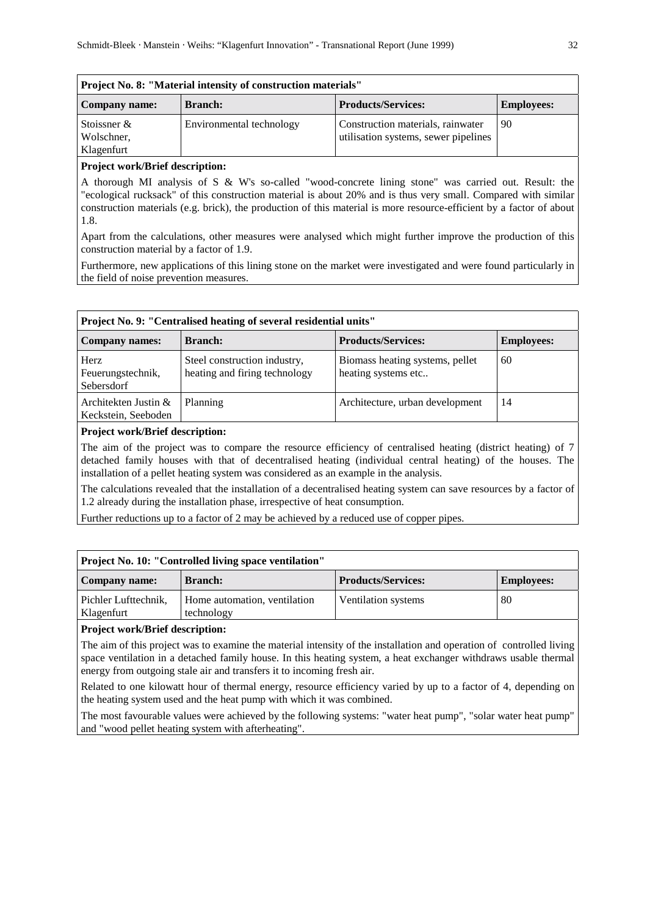| Project No. 8: "Material intensity of construction materials" |                          |                                                                           |                   |  |
|---------------------------------------------------------------|--------------------------|---------------------------------------------------------------------------|-------------------|--|
| Company name:                                                 | <b>Branch:</b>           | <b>Products/Services:</b>                                                 | <b>Employees:</b> |  |
| Stoissner $\&$<br>Wolschner,<br>Klagenfurt                    | Environmental technology | Construction materials, rainwater<br>utilisation systems, sewer pipelines | 90                |  |

A thorough MI analysis of S & W's so-called "wood-concrete lining stone" was carried out. Result: the "ecological rucksack" of this construction material is about 20% and is thus very small. Compared with similar construction materials (e.g. brick), the production of this material is more resource-efficient by a factor of about 1.8.

Apart from the calculations, other measures were analysed which might further improve the production of this construction material by a factor of 1.9.

Furthermore, new applications of this lining stone on the market were investigated and were found particularly in the field of noise prevention measures.

| Project No. 9: "Centralised heating of several residential units" |                                                               |                                                        |                   |  |
|-------------------------------------------------------------------|---------------------------------------------------------------|--------------------------------------------------------|-------------------|--|
| <b>Company names:</b>                                             | <b>Branch:</b>                                                | <b>Products/Services:</b>                              | <b>Employees:</b> |  |
| Herz<br>Feuerungstechnik,<br>Sebersdorf                           | Steel construction industry,<br>heating and firing technology | Biomass heating systems, pellet<br>heating systems etc | 60                |  |
| Architekten Justin &<br>Keckstein, Seeboden                       | Planning                                                      | Architecture, urban development                        | 14                |  |

#### **Project work/Brief description:**

The aim of the project was to compare the resource efficiency of centralised heating (district heating) of 7 detached family houses with that of decentralised heating (individual central heating) of the houses. The installation of a pellet heating system was considered as an example in the analysis.

The calculations revealed that the installation of a decentralised heating system can save resources by a factor of 1.2 already during the installation phase, irrespective of heat consumption.

Further reductions up to a factor of 2 may be achieved by a reduced use of copper pipes.

| Project No. 10: "Controlled living space ventilation" |                                            |                           |                   |
|-------------------------------------------------------|--------------------------------------------|---------------------------|-------------------|
| Company name:                                         | <b>Branch:</b>                             | <b>Products/Services:</b> | <b>Employees:</b> |
| Pichler Lufttechnik.<br>Klagenfurt                    | Home automation, ventilation<br>technology | Ventilation systems       | 80                |

## **Project work/Brief description:**

The aim of this project was to examine the material intensity of the installation and operation of controlled living space ventilation in a detached family house. In this heating system, a heat exchanger withdraws usable thermal energy from outgoing stale air and transfers it to incoming fresh air.

Related to one kilowatt hour of thermal energy, resource efficiency varied by up to a factor of 4, depending on the heating system used and the heat pump with which it was combined.

The most favourable values were achieved by the following systems: "water heat pump", "solar water heat pump" and "wood pellet heating system with afterheating".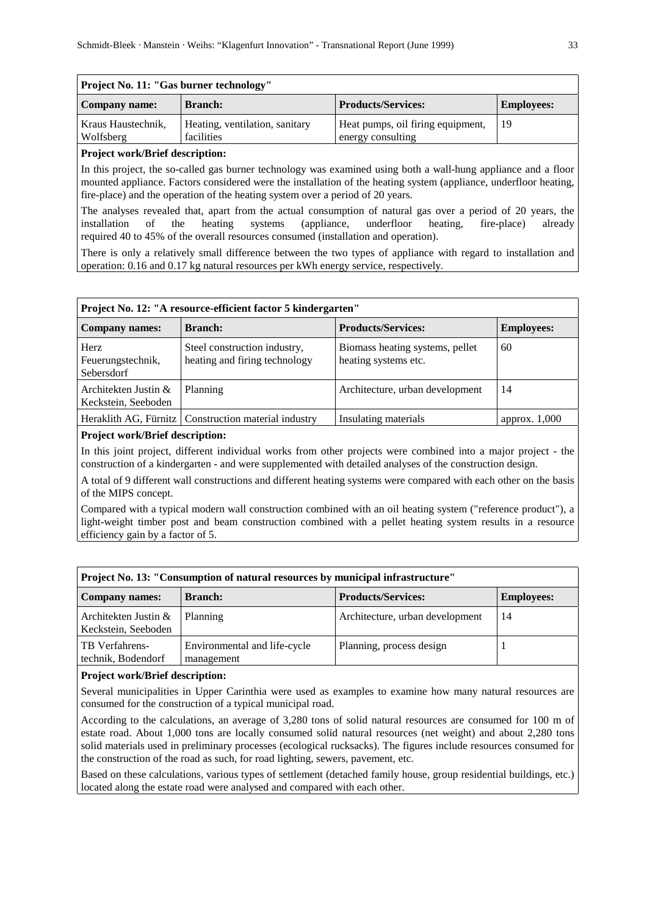| Project No. 11: "Gas burner technology" |                                              |                                                        |                   |
|-----------------------------------------|----------------------------------------------|--------------------------------------------------------|-------------------|
| Company name:                           | <b>Branch:</b>                               | <b>Products/Services:</b>                              | <b>Employees:</b> |
| Kraus Haustechnik,<br>Wolfsberg         | Heating, ventilation, sanitary<br>facilities | Heat pumps, oil firing equipment,<br>energy consulting | 19                |

In this project, the so-called gas burner technology was examined using both a wall-hung appliance and a floor mounted appliance. Factors considered were the installation of the heating system (appliance, underfloor heating, fire-place) and the operation of the heating system over a period of 20 years.

The analyses revealed that, apart from the actual consumption of natural gas over a period of 20 years, the installation of the heating systems (appliance, underfloor heating, fire-place) already required 40 to 45% of the overall resources consumed (installation and operation).

There is only a relatively small difference between the two types of appliance with regard to installation and operation: 0.16 and 0.17 kg natural resources per kWh energy service, respectively.

| Project No. 12: "A resource-efficient factor 5 kindergarten" |                                                               |                                                         |                   |  |
|--------------------------------------------------------------|---------------------------------------------------------------|---------------------------------------------------------|-------------------|--|
| <b>Company names:</b>                                        | <b>Branch:</b>                                                | <b>Products/Services:</b>                               | <b>Employees:</b> |  |
| Herz<br>Feuerungstechnik,<br>Sebersdorf                      | Steel construction industry,<br>heating and firing technology | Biomass heating systems, pellet<br>heating systems etc. | 60                |  |
| Architekten Justin &<br>Keckstein, Seeboden                  | Planning                                                      | Architecture, urban development                         | 14                |  |
|                                                              | Heraklith AG, Fürnitz   Construction material industry        | Insulating materials                                    | approx. $1,000$   |  |

### **Project work/Brief description:**

In this joint project, different individual works from other projects were combined into a major project - the construction of a kindergarten - and were supplemented with detailed analyses of the construction design.

A total of 9 different wall constructions and different heating systems were compared with each other on the basis of the MIPS concept.

Compared with a typical modern wall construction combined with an oil heating system ("reference product"), a light-weight timber post and beam construction combined with a pellet heating system results in a resource efficiency gain by a factor of 5.

| Project No. 13: "Consumption of natural resources by municipal infrastructure"            |                                            |                                 |    |  |
|-------------------------------------------------------------------------------------------|--------------------------------------------|---------------------------------|----|--|
| <b>Products/Services:</b><br><b>Branch:</b><br><b>Company names:</b><br><b>Employees:</b> |                                            |                                 |    |  |
| Architekten Justin &<br>Keckstein, Seeboden                                               | Planning                                   | Architecture, urban development | 14 |  |
| TB Verfahrens-<br>technik, Bodendorf                                                      | Environmental and life-cycle<br>management | Planning, process design        |    |  |

#### **Project work/Brief description:**

Several municipalities in Upper Carinthia were used as examples to examine how many natural resources are consumed for the construction of a typical municipal road.

According to the calculations, an average of 3,280 tons of solid natural resources are consumed for 100 m of estate road. About 1,000 tons are locally consumed solid natural resources (net weight) and about 2,280 tons solid materials used in preliminary processes (ecological rucksacks). The figures include resources consumed for the construction of the road as such, for road lighting, sewers, pavement, etc.

Based on these calculations, various types of settlement (detached family house, group residential buildings, etc.) located along the estate road were analysed and compared with each other.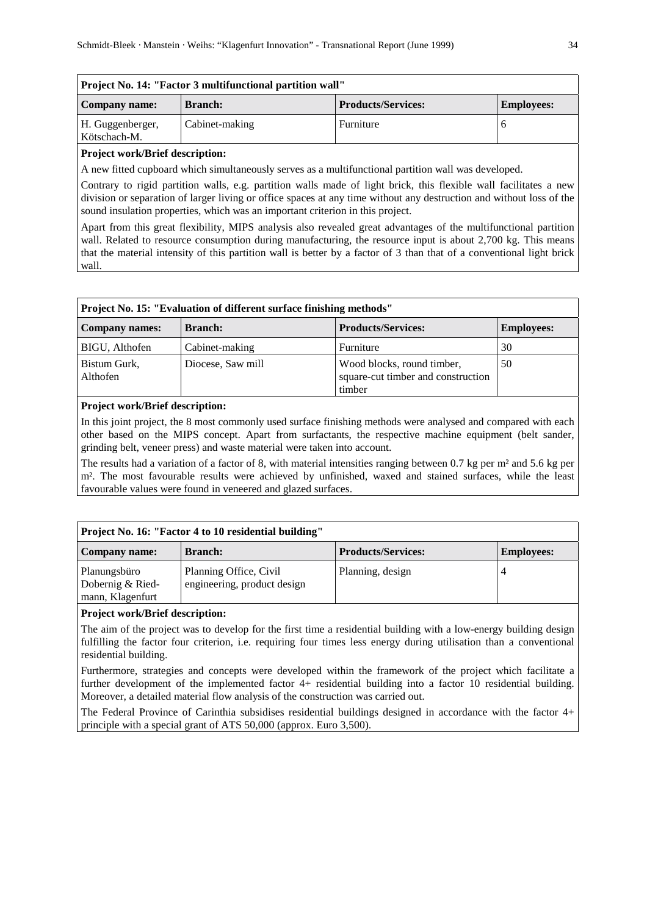| Project No. 14: "Factor 3 multifunctional partition wall" |                |                           |                   |
|-----------------------------------------------------------|----------------|---------------------------|-------------------|
| Company name:                                             | <b>Branch:</b> | <b>Products/Services:</b> | <b>Employees:</b> |
| H. Guggenberger,<br>Kötschach-M.                          | Cabinet-making | Furniture                 |                   |

A new fitted cupboard which simultaneously serves as a multifunctional partition wall was developed.

Contrary to rigid partition walls, e.g. partition walls made of light brick, this flexible wall facilitates a new division or separation of larger living or office spaces at any time without any destruction and without loss of the sound insulation properties, which was an important criterion in this project.

Apart from this great flexibility, MIPS analysis also revealed great advantages of the multifunctional partition wall. Related to resource consumption during manufacturing, the resource input is about 2,700 kg. This means that the material intensity of this partition wall is better by a factor of 3 than that of a conventional light brick wall.

| Project No. 15: "Evaluation of different surface finishing methods" |                   |                                                                            |                   |
|---------------------------------------------------------------------|-------------------|----------------------------------------------------------------------------|-------------------|
| <b>Company names:</b>                                               | <b>Branch:</b>    | <b>Products/Services:</b>                                                  | <b>Employees:</b> |
| BIGU, Althofen                                                      | Cabinet-making    | Furniture                                                                  | 30                |
| Bistum Gurk,<br>Althofen                                            | Diocese, Saw mill | Wood blocks, round timber,<br>square-cut timber and construction<br>timber | 50                |

#### **Project work/Brief description:**

In this joint project, the 8 most commonly used surface finishing methods were analysed and compared with each other based on the MIPS concept. Apart from surfactants, the respective machine equipment (belt sander, grinding belt, veneer press) and waste material were taken into account.

The results had a variation of a factor of 8, with material intensities ranging between 0.7 kg per m² and 5.6 kg per m². The most favourable results were achieved by unfinished, waxed and stained surfaces, while the least favourable values were found in veneered and glazed surfaces.

| Project No. 16: "Factor 4 to 10 residential building" |                                                       |                           |                   |
|-------------------------------------------------------|-------------------------------------------------------|---------------------------|-------------------|
| Company name:                                         | <b>Branch:</b>                                        | <b>Products/Services:</b> | <b>Employees:</b> |
| Planungsbüro<br>Dobernig & Ried-<br>mann, Klagenfurt  | Planning Office, Civil<br>engineering, product design | Planning, design          |                   |

# **Project work/Brief description:**

The aim of the project was to develop for the first time a residential building with a low-energy building design fulfilling the factor four criterion, i.e. requiring four times less energy during utilisation than a conventional residential building.

Furthermore, strategies and concepts were developed within the framework of the project which facilitate a further development of the implemented factor 4+ residential building into a factor 10 residential building. Moreover, a detailed material flow analysis of the construction was carried out.

The Federal Province of Carinthia subsidises residential buildings designed in accordance with the factor 4+ principle with a special grant of ATS 50,000 (approx. Euro 3,500).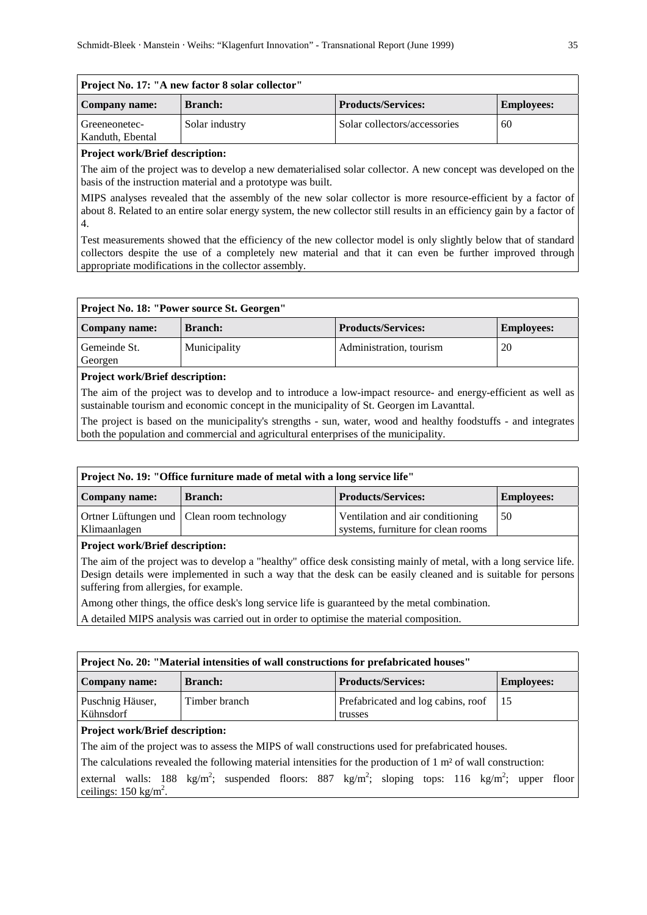| Project No. 17: "A new factor 8 solar collector" |                |                              |                   |
|--------------------------------------------------|----------------|------------------------------|-------------------|
| Company name:                                    | <b>Branch:</b> | <b>Products/Services:</b>    | <b>Employees:</b> |
| Greeneonetec-<br>Kanduth, Ebental                | Solar industry | Solar collectors/accessories | 60                |

The aim of the project was to develop a new dematerialised solar collector. A new concept was developed on the basis of the instruction material and a prototype was built.

MIPS analyses revealed that the assembly of the new solar collector is more resource-efficient by a factor of about 8. Related to an entire solar energy system, the new collector still results in an efficiency gain by a factor of 4.

Test measurements showed that the efficiency of the new collector model is only slightly below that of standard collectors despite the use of a completely new material and that it can even be further improved through appropriate modifications in the collector assembly.

| Project No. 18: "Power source St. Georgen" |                |                           |                   |
|--------------------------------------------|----------------|---------------------------|-------------------|
| Company name:                              | <b>Branch:</b> | <b>Products/Services:</b> | <b>Employees:</b> |
| Gemeinde St.<br>Georgen                    | Municipality   | Administration, tourism   | 20                |

#### **Project work/Brief description:**

The aim of the project was to develop and to introduce a low-impact resource- and energy-efficient as well as sustainable tourism and economic concept in the municipality of St. Georgen im Lavanttal.

The project is based on the municipality's strengths - sun, water, wood and healthy foodstuffs - and integrates both the population and commercial and agricultural enterprises of the municipality.

## **Project No. 19: "Office furniture made of metal with a long service life"**

| Company name: | <b>Branch:</b>                               | <b>Products/Services:</b>          | <b>Employees:</b> |
|---------------|----------------------------------------------|------------------------------------|-------------------|
|               | Ortner Lüftungen und   Clean room technology | Ventilation and air conditioning   | -50               |
| Klimaanlagen  |                                              | systems, furniture for clean rooms |                   |

#### **Project work/Brief description:**

The aim of the project was to develop a "healthy" office desk consisting mainly of metal, with a long service life. Design details were implemented in such a way that the desk can be easily cleaned and is suitable for persons suffering from allergies, for example.

Among other things, the office desk's long service life is guaranteed by the metal combination.

A detailed MIPS analysis was carried out in order to optimise the material composition.

| Project No. 20: "Material intensities of wall constructions for prefabricated houses"                                                                                   |                |                                               |                   |  |
|-------------------------------------------------------------------------------------------------------------------------------------------------------------------------|----------------|-----------------------------------------------|-------------------|--|
| Company name:                                                                                                                                                           | <b>Branch:</b> | <b>Products/Services:</b>                     | <b>Employees:</b> |  |
| Puschnig Häuser,<br>Kühnsdorf                                                                                                                                           | Timber branch  | Prefabricated and log cabins, roof<br>trusses | -15               |  |
| <b>Project work/Brief description:</b>                                                                                                                                  |                |                                               |                   |  |
| The aim of the project was to assess the MIPS of wall constructions used for prefabricated houses.                                                                      |                |                                               |                   |  |
| The calculations revealed the following material intensities for the production of $1 \text{ m}^2$ of wall construction:                                                |                |                                               |                   |  |
| external walls: 188 kg/m <sup>2</sup> ; suspended floors: 887 kg/m <sup>2</sup> ; sloping tops: 116 kg/m <sup>2</sup> ; upper floor<br>ceilings: $150 \text{ kg/m}^2$ . |                |                                               |                   |  |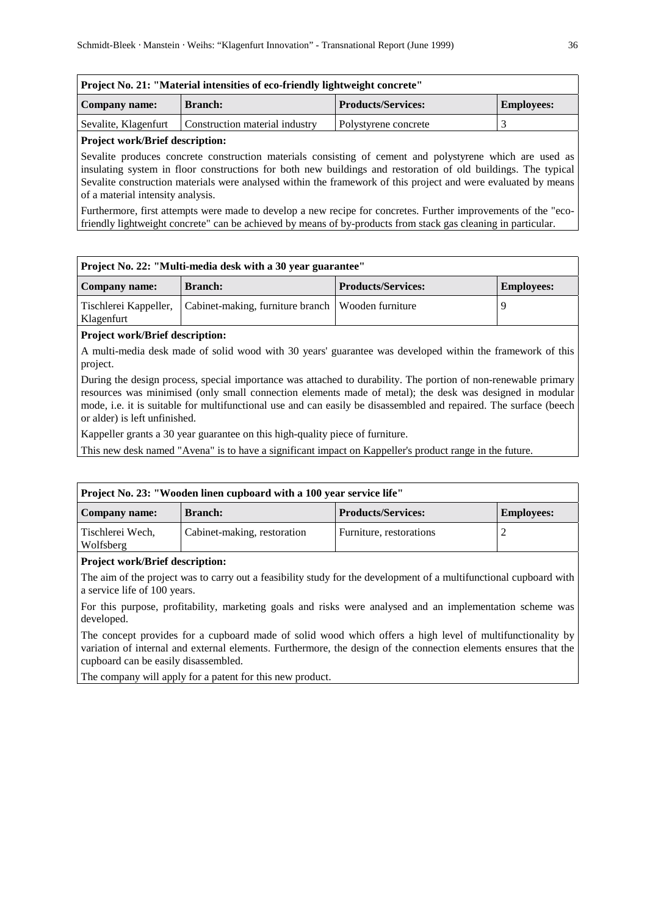| Project No. 21: "Material intensities of eco-friendly lightweight concrete"       |                                |                      |  |  |
|-----------------------------------------------------------------------------------|--------------------------------|----------------------|--|--|
| <b>Products/Services:</b><br><b>Employees:</b><br><b>Branch:</b><br>Company name: |                                |                      |  |  |
| Sevalite, Klagenfurt                                                              | Construction material industry | Polystyrene concrete |  |  |
|                                                                                   |                                |                      |  |  |

Sevalite produces concrete construction materials consisting of cement and polystyrene which are used as insulating system in floor constructions for both new buildings and restoration of old buildings. The typical Sevalite construction materials were analysed within the framework of this project and were evaluated by means of a material intensity analysis.

Furthermore, first attempts were made to develop a new recipe for concretes. Further improvements of the "ecofriendly lightweight concrete" can be achieved by means of by-products from stack gas cleaning in particular.

| Project No. 22: "Multi-media desk with a 30 year guarantee" |                                                                           |                           |                   |
|-------------------------------------------------------------|---------------------------------------------------------------------------|---------------------------|-------------------|
| Company name:                                               | <b>Branch:</b>                                                            | <b>Products/Services:</b> | <b>Employees:</b> |
| Klagenfurt                                                  | Tischlerei Kappeller, Cabinet-making, furniture branch   Wooden furniture |                           |                   |

# **Project work/Brief description:**

A multi-media desk made of solid wood with 30 years' guarantee was developed within the framework of this project.

During the design process, special importance was attached to durability. The portion of non-renewable primary resources was minimised (only small connection elements made of metal); the desk was designed in modular mode, i.e. it is suitable for multifunctional use and can easily be disassembled and repaired. The surface (beech or alder) is left unfinished.

Kappeller grants a 30 year guarantee on this high-quality piece of furniture.

This new desk named "Avena" is to have a significant impact on Kappeller's product range in the future.

| Project No. 23: "Wooden linen cupboard with a 100 year service life" |                             |                           |                   |
|----------------------------------------------------------------------|-----------------------------|---------------------------|-------------------|
| Company name:                                                        | <b>Branch:</b>              | <b>Products/Services:</b> | <b>Employees:</b> |
| Tischlerei Wech,<br>Wolfsberg                                        | Cabinet-making, restoration | Furniture, restorations   |                   |

## **Project work/Brief description:**

The aim of the project was to carry out a feasibility study for the development of a multifunctional cupboard with a service life of 100 years.

For this purpose, profitability, marketing goals and risks were analysed and an implementation scheme was developed.

The concept provides for a cupboard made of solid wood which offers a high level of multifunctionality by variation of internal and external elements. Furthermore, the design of the connection elements ensures that the cupboard can be easily disassembled.

The company will apply for a patent for this new product.